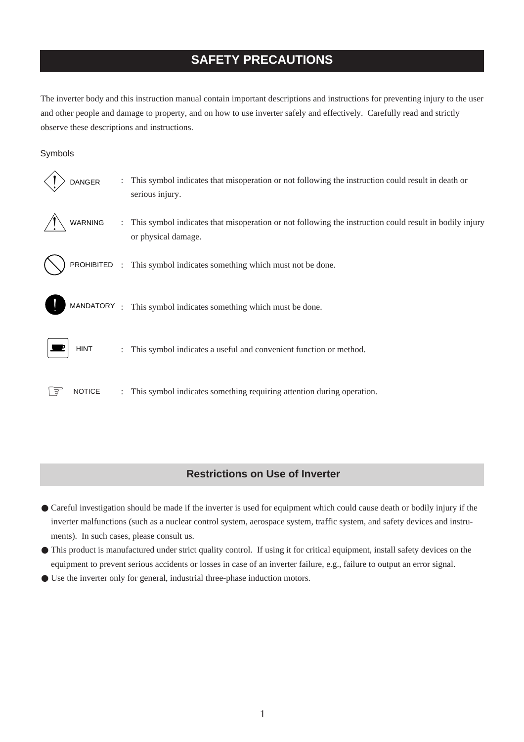# **SAFETY PRECAUTIONS**

The inverter body and this instruction manual contain important descriptions and instructions for preventing injury to the user and other people and damage to property, and on how to use inverter safely and effectively. Carefully read and strictly observe these descriptions and instructions.

#### Symbols

| <b>DANGER</b> |                      | This symbol indicates that misoperation or not following the instruction could result in death or<br>serious injury.          |
|---------------|----------------------|-------------------------------------------------------------------------------------------------------------------------------|
| WARNING       |                      | This symbol indicates that misoperation or not following the instruction could result in bodily injury<br>or physical damage. |
|               |                      | PROHIBITED : This symbol indicates something which must not be done.                                                          |
|               |                      | MANDATORY: This symbol indicates something which must be done.                                                                |
| <b>HINT</b>   | $\ddot{\phantom{0}}$ | This symbol indicates a useful and convenient function or method.                                                             |
| <b>NOTICE</b> |                      | : This symbol indicates something requiring attention during operation.                                                       |

### **Restrictions on Use of Inverter**

- Careful investigation should be made if the inverter is used for equipment which could cause death or bodily injury if the inverter malfunctions (such as a nuclear control system, aerospace system, traffic system, and safety devices and instruments). In such cases, please consult us.
- This product is manufactured under strict quality control. If using it for critical equipment, install safety devices on the equipment to prevent serious accidents or losses in case of an inverter failure, e.g., failure to output an error signal.
- Use the inverter only for general, industrial three-phase induction motors.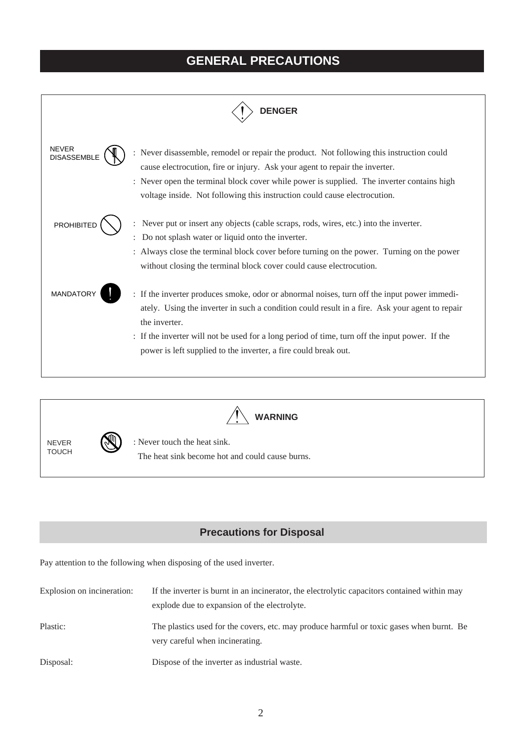# **GENERAL PRECAUTIONS**





**WARNING**

NEVER **TOUCH** 



: Never touch the heat sink. The heat sink become hot and could cause burns.

### **Precautions for Disposal**

Pay attention to the following when disposing of the used inverter.

| Explosion on incineration: | If the inverter is burnt in an incinerator, the electrolytic capacitors contained within may<br>explode due to expansion of the electrolyte. |
|----------------------------|----------------------------------------------------------------------------------------------------------------------------------------------|
| Plastic:                   | The plastics used for the covers, etc. may produce harmful or toxic gases when burnt. Be<br>very careful when incinerating.                  |
| Disposal:                  | Dispose of the inverter as industrial waste.                                                                                                 |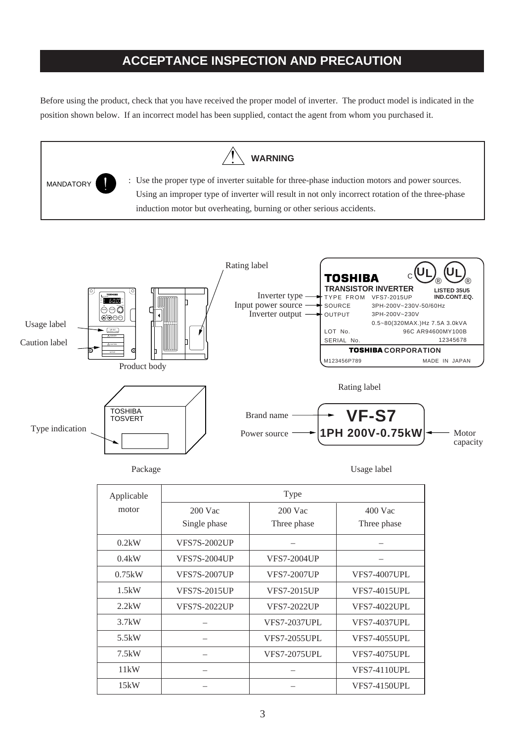# **ACCEPTANCE INSPECTION AND PRECAUTION**

Before using the product, check that you have received the proper model of inverter. The product model is indicated in the position shown below. If an incorrect model has been supplied, contact the agent from whom you purchased it.



| Applicable | Type                |                     |                     |  |  |  |  |  |
|------------|---------------------|---------------------|---------------------|--|--|--|--|--|
| motor      | $200$ Vac           | $200$ Vac           | $400$ Vac           |  |  |  |  |  |
|            | Single phase        | Three phase         | Three phase         |  |  |  |  |  |
| 0.2kW      | <b>VFS7S-2002UP</b> |                     |                     |  |  |  |  |  |
| 0.4kW      | VFS7S-2004UP        | VFS7-2004UP         |                     |  |  |  |  |  |
| 0.75kW     | <b>VFS7S-2007UP</b> | <b>VFS7-2007UP</b>  | <b>VFS7-4007UPL</b> |  |  |  |  |  |
| 1.5kW      | <b>VFS7S-2015UP</b> | VFS7-2015UP         | <b>VFS7-4015UPL</b> |  |  |  |  |  |
| 2.2kW      | <b>VFS7S-2022UP</b> | <b>VFS7-2022UP</b>  | <b>VFS7-4022UPL</b> |  |  |  |  |  |
| 3.7kW      |                     | <b>VFS7-2037UPL</b> | <b>VFS7-4037UPL</b> |  |  |  |  |  |
| 5.5kW      |                     | <b>VFS7-2055UPL</b> | <b>VFS7-4055UPL</b> |  |  |  |  |  |
| 7.5kW      |                     | <b>VFS7-2075UPL</b> | <b>VFS7-4075UPL</b> |  |  |  |  |  |
| 11kW       |                     |                     | <b>VFS7-4110UPL</b> |  |  |  |  |  |
| 15kW       |                     |                     | <b>VFS7-4150UPL</b> |  |  |  |  |  |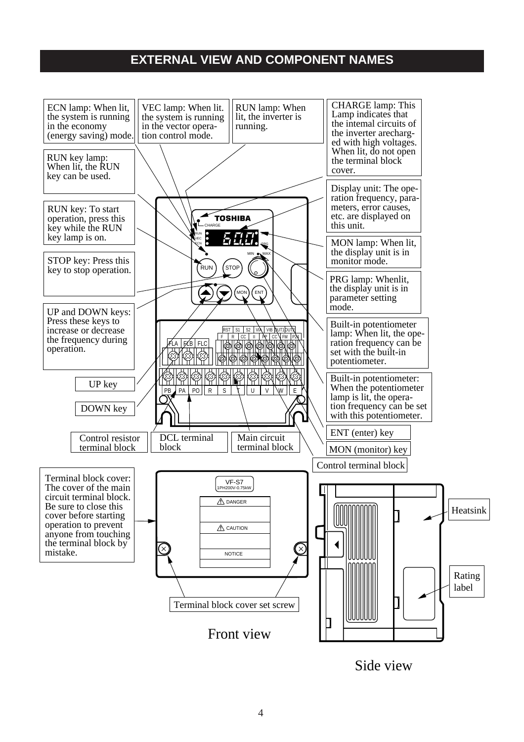# **EXTERNAL VIEW AND COMPONENT NAMES**



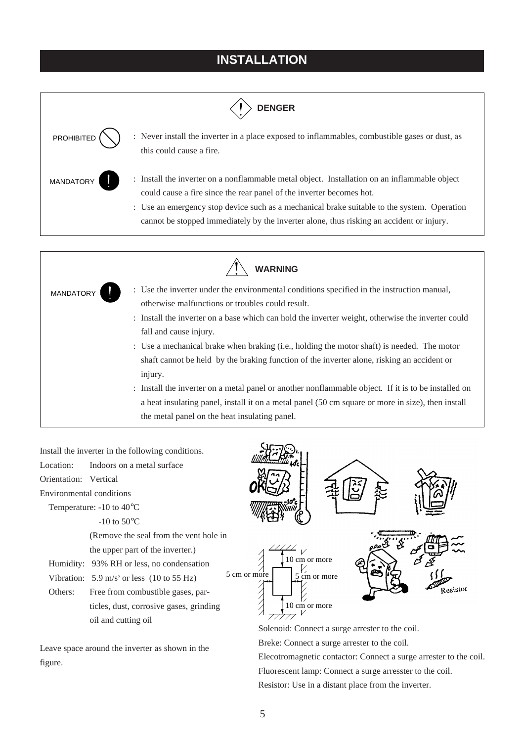# **INSTALLATION**



|                  | <b>WARNING</b>                                                                                                                                                                                                                                                                                                                                                                                                                                                                                                                                                                                                                                                                                                                                    |
|------------------|---------------------------------------------------------------------------------------------------------------------------------------------------------------------------------------------------------------------------------------------------------------------------------------------------------------------------------------------------------------------------------------------------------------------------------------------------------------------------------------------------------------------------------------------------------------------------------------------------------------------------------------------------------------------------------------------------------------------------------------------------|
| <b>MANDATORY</b> | : Use the inverter under the environmental conditions specified in the instruction manual,<br>otherwise malfunctions or troubles could result.<br>: Install the inverter on a base which can hold the inverter weight, otherwise the inverter could<br>fall and cause injury.<br>: Use a mechanical brake when braking (i.e., holding the motor shaft) is needed. The motor<br>shaft cannot be held by the braking function of the inverter alone, risking an accident or<br>injury.<br>: Install the inverter on a metal panel or another nonflammable object. If it is to be installed on<br>a heat insulating panel, install it on a metal panel (50 cm square or more in size), then install<br>the metal panel on the heat insulating panel. |

Install the inverter in the following conditions. Location: Indoors on a metal surface Orientation: Vertical Environmental conditions Temperature: -10 to 40°C -10 to  $50^{\circ}$ C (Remove the seal from the vent hole in the upper part of the inverter.)  $\left\{\begin{array}{c}\right\}$ <br>5 cm or more 10 cm or more Humidity: 93% RH or less, no condensation  $\frac{1}{2}$  cm or more Vibration:  $5.9 \text{ m/s}^2$  or less (10 to 55 Hz)  $\frac{1}{2}$ Resistor Others: Free from combustible gases, particles, dust, corrosive gases, grinding 10 cm or more oil and cutting oil Solenoid: Connect a surge arrester to the coil.

Leave space around the inverter as shown in the figure.

Breke: Connect a surge arrester to the coil.

Elecotromagnetic contactor: Connect a surge arrester to the coil. Fluorescent lamp: Connect a surge arresster to the coil. Resistor: Use in a distant place from the inverter.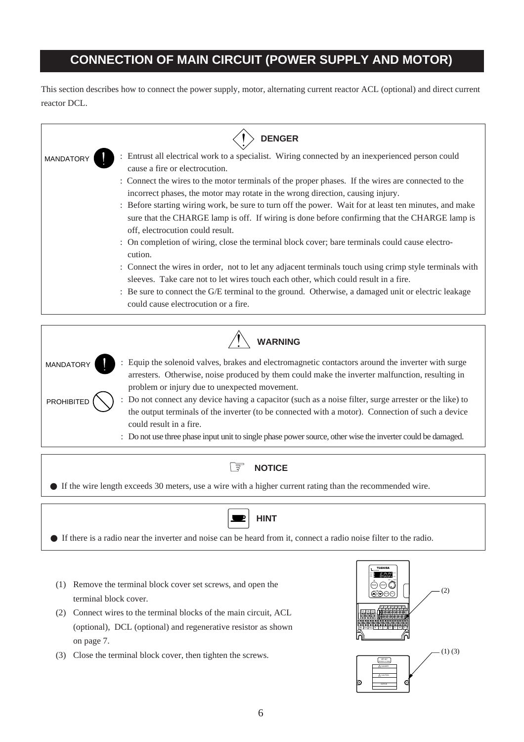# **CONNECTION OF MAIN CIRCUIT (POWER SUPPLY AND MOTOR)**

This section describes how to connect the power supply, motor, alternating current reactor ACL (optional) and direct current reactor DCL.

|           | <b>DENGER</b>                                                                                                                                                                                                                              |  |  |  |  |  |  |  |  |  |
|-----------|--------------------------------------------------------------------------------------------------------------------------------------------------------------------------------------------------------------------------------------------|--|--|--|--|--|--|--|--|--|
| MANDATORY | Entrust all electrical work to a specialist. Wiring connected by an inexperienced person could<br>cause a fire or electrocution.                                                                                                           |  |  |  |  |  |  |  |  |  |
|           | : Connect the wires to the motor terminals of the proper phases. If the wires are connected to the<br>incorrect phases, the motor may rotate in the wrong direction, causing injury.                                                       |  |  |  |  |  |  |  |  |  |
|           | : Before starting wiring work, be sure to turn off the power. Wait for at least ten minutes, and make<br>sure that the CHARGE lamp is off. If wiring is done before confirming that the CHARGE lamp is<br>off, electrocution could result. |  |  |  |  |  |  |  |  |  |
|           | : On completion of wiring, close the terminal block cover; bare terminals could cause electro-<br>cution.                                                                                                                                  |  |  |  |  |  |  |  |  |  |
|           | : Connect the wires in order, not to let any adjacent terminals touch using crimp style terminals with<br>sleeves. Take care not to let wires touch each other, which could result in a fire.                                              |  |  |  |  |  |  |  |  |  |
|           | : Be sure to connect the G/E terminal to the ground. Otherwise, a damaged unit or electric leakage<br>could cause electrocution or a fire.                                                                                                 |  |  |  |  |  |  |  |  |  |





● If the wire length exceeds 30 meters, use a wire with a higher current rating than the recommended wire.



● If there is a radio near the inverter and noise can be heard from it, connect a radio noise filter to the radio.

- (1) Remove the terminal block cover set screws, and open the terminal block cover.
- (2) Connect wires to the terminal blocks of the main circuit, ACL (optional), DCL (optional) and regenerative resistor as shown on page 7.
- (3) Close the terminal block cover, then tighten the screws.

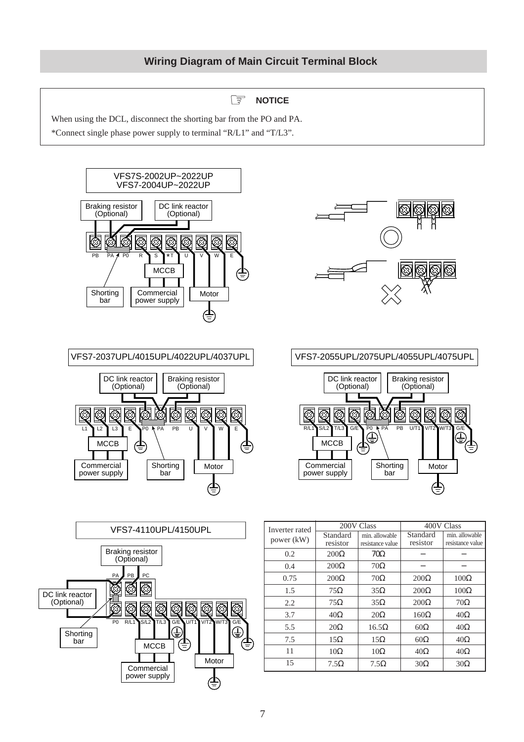### ☞ **NOTICE**

When using the DCL, disconnect the shorting bar from the PO and PA. \*Connect single phase power supply to terminal "R/L1" and "T/L3".









VFS7-2037UPL/4015UPL/4022UPL/4037UPL



| Inverter rated |             | 200V Class       | 400V Class  |                  |  |
|----------------|-------------|------------------|-------------|------------------|--|
| power (kW)     | Standard    | min. allowable   | Standard    | min. allowable   |  |
|                | resistor    | resistance value | resistor    | resistance value |  |
| 0.2            | $200\Omega$ | $70\Omega$       |             |                  |  |
| 0.4            | $200\Omega$ | $70\Omega$       |             |                  |  |
| 0.75           | $200\Omega$ | $70\Omega$       | $200\Omega$ | $100\Omega$      |  |
| 1.5            | $75\Omega$  | $35\Omega$       | $200\Omega$ | $100\Omega$      |  |
| 2.2            | $75\Omega$  | $35\Omega$       | $200\Omega$ | $70\Omega$       |  |
| 3.7            | $40\Omega$  | $20\Omega$       | $160\Omega$ | $40\Omega$       |  |
| 5.5            | $20\Omega$  | $16.5\Omega$     | $60\Omega$  | $40\Omega$       |  |
| 7.5            | $15\Omega$  | $15\Omega$       | $60\Omega$  | $40\Omega$       |  |
| 11             | $10\Omega$  | $10\Omega$       | $40\Omega$  | $40\Omega$       |  |
| 15             | $7.5\Omega$ | $7.5\Omega$      | $30\Omega$  | $30\Omega$       |  |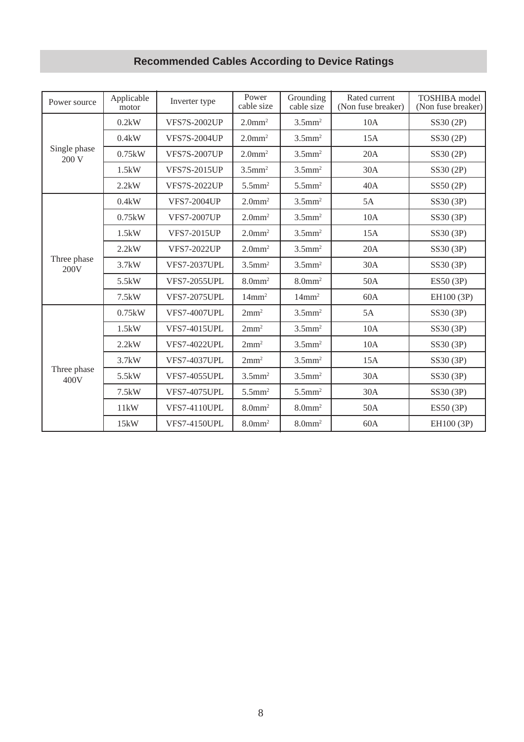# **Recommended Cables According to Device Ratings**

| Power source                                         | Applicable<br>motor | Inverter type                                | Power<br>cable size   | Grounding<br>cable size | Rated current<br>(Non fuse breaker) | <b>TOSHIBA</b> model<br>(Non fuse breaker)                                                                                                                                                                                                                                                                            |
|------------------------------------------------------|---------------------|----------------------------------------------|-----------------------|-------------------------|-------------------------------------|-----------------------------------------------------------------------------------------------------------------------------------------------------------------------------------------------------------------------------------------------------------------------------------------------------------------------|
|                                                      | 0.2kW               | <b>VFS7S-2002UP</b>                          | $2.0$ mm <sup>2</sup> | $3.5$ mm <sup>2</sup>   | 10A                                 | SS30 (2P)                                                                                                                                                                                                                                                                                                             |
|                                                      | 0.4kW               | <b>VFS7S-2004UP</b>                          | $2.0$ mm <sup>2</sup> | $3.5$ mm <sup>2</sup>   | 15A                                 | SS30 (2P)                                                                                                                                                                                                                                                                                                             |
|                                                      | 0.75kW              | <b>VFS7S-2007UP</b>                          | $2.0$ mm <sup>2</sup> | $3.5$ mm <sup>2</sup>   | 20A                                 | SS30 (2P)                                                                                                                                                                                                                                                                                                             |
|                                                      | 1.5kW               | <b>VFS7S-2015UP</b>                          | $3.5$ mm <sup>2</sup> | $3.5$ mm <sup>2</sup>   | 30A                                 | SS30 (2P)                                                                                                                                                                                                                                                                                                             |
|                                                      | 2.2kW               | <b>VFS7S-2022UP</b>                          | $5.5$ mm <sup>2</sup> | $5.5$ mm <sup>2</sup>   | 40A                                 | SS50 (2P)<br>5A<br>SS30 (3P)<br>10A<br>SS30 (3P)<br>15A<br>SS30 (3P)<br>20A<br>SS30 (3P)<br>30A<br>SS30 (3P)<br>50A<br>ES50 (3P)<br>60A<br>EH100 (3P)<br>5A<br>SS30 (3P)<br>10A<br>SS30 (3P)<br>10A<br>SS30 (3P)<br>15A<br>SS30 (3P)<br>30A<br>SS30 (3P)<br>30A<br>SS30 (3P)<br>50A<br>ES50 (3P)<br>60A<br>EH100 (3P) |
|                                                      | 0.4kW               | <b>VFS7-2004UP</b>                           | $2.0$ mm <sup>2</sup> | $3.5$ mm <sup>2</sup>   |                                     |                                                                                                                                                                                                                                                                                                                       |
|                                                      | 0.75kW              | <b>VFS7-2007UP</b>                           | $2.0$ mm <sup>2</sup> | $3.5$ mm <sup>2</sup>   |                                     |                                                                                                                                                                                                                                                                                                                       |
| Three phase<br>200V                                  | 1.5kW               | <b>VFS7-2015UP</b>                           | $2.0$ mm <sup>2</sup> | $3.5$ mm <sup>2</sup>   |                                     |                                                                                                                                                                                                                                                                                                                       |
|                                                      | 2.2kW               | <b>VFS7-2022UP</b>                           | $2.0$ mm <sup>2</sup> | $3.5$ mm <sup>2</sup>   |                                     |                                                                                                                                                                                                                                                                                                                       |
|                                                      | 3.7kW               | <b>VFS7-2037UPL</b>                          | $3.5$ mm <sup>2</sup> | $3.5$ mm <sup>2</sup>   |                                     |                                                                                                                                                                                                                                                                                                                       |
|                                                      | 5.5kW               | <b>VFS7-2055UPL</b>                          | $8.0$ mm <sup>2</sup> | $8.0$ mm <sup>2</sup>   |                                     |                                                                                                                                                                                                                                                                                                                       |
|                                                      | 7.5kW               | <b>VFS7-2075UPL</b>                          | $14$ mm <sup>2</sup>  | $14$ mm <sup>2</sup>    |                                     |                                                                                                                                                                                                                                                                                                                       |
|                                                      | 0.75kW              | <b>VFS7-4007UPL</b>                          | 2mm <sup>2</sup>      | $3.5$ mm <sup>2</sup>   |                                     |                                                                                                                                                                                                                                                                                                                       |
|                                                      | 1.5kW               | <b>VFS7-4015UPL</b>                          | 2mm <sup>2</sup>      | $3.5$ mm <sup>2</sup>   |                                     |                                                                                                                                                                                                                                                                                                                       |
|                                                      | 2.2kW               | <b>VFS7-4022UPL</b>                          | 2mm <sup>2</sup>      | $3.5$ mm <sup>2</sup>   |                                     |                                                                                                                                                                                                                                                                                                                       |
|                                                      | 3.7kW               | <b>VFS7-4037UPL</b>                          | 2mm <sup>2</sup>      | $3.5$ mm <sup>2</sup>   |                                     |                                                                                                                                                                                                                                                                                                                       |
| 400V                                                 | 5.5kW               | <b>VFS7-4055UPL</b>                          | $3.5$ mm <sup>2</sup> | $3.5$ mm <sup>2</sup>   |                                     |                                                                                                                                                                                                                                                                                                                       |
|                                                      | 7.5kW               | <b>VFS7-4075UPL</b><br>$5.5$ mm <sup>2</sup> | $5.5$ mm <sup>2</sup> |                         |                                     |                                                                                                                                                                                                                                                                                                                       |
| Single phase<br>200 V<br>Three phase<br>11kW<br>15kW | <b>VFS7-4110UPL</b> | $8.0$ mm <sup>2</sup>                        | $8.0$ mm <sup>2</sup> |                         |                                     |                                                                                                                                                                                                                                                                                                                       |
|                                                      |                     | <b>VFS7-4150UPL</b>                          | $8.0$ mm <sup>2</sup> | $8.0$ mm <sup>2</sup>   |                                     |                                                                                                                                                                                                                                                                                                                       |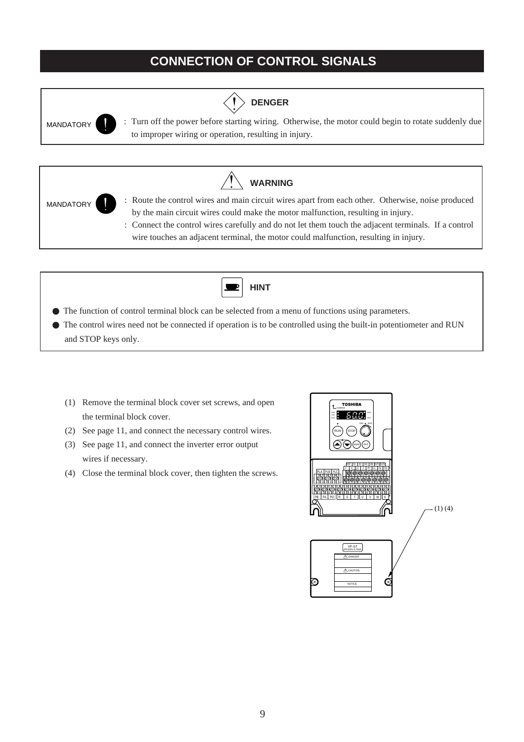# **CONNECTION OF CONTROL SIGNALS**



**DENGER**

MANDATORY : Turn off the power before starting wiring. Otherwise, the motor could begin to rotate suddenly due to improper wiring or operation, resulting in injury.





 $\blacksquare$ 

● The control wires need not be connected if operation is to be controlled using the built-in potentiometer and RUN and STOP keys only.

**HINT**

- (1) Remove the terminal block cover set screws, and open the terminal block cover.
- (2) See page 11, and connect the necessary control wires.
- (3) See page 11, and connect the inverter error output wires if necessary.
- (4) Close the terminal block cover, then tighten the screws.

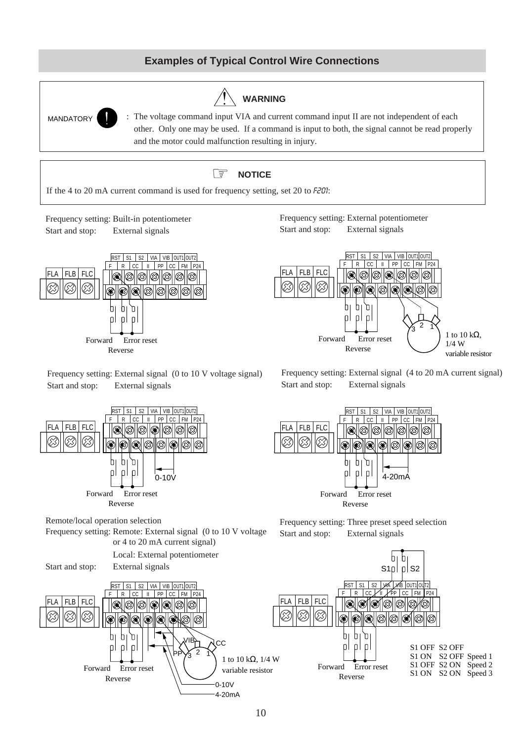### **Examples of Typical Control Wire Connections**





Frequency setting: External signal (0 to 10 V voltage signal) Start and stop: External signals

Frequency setting: External signal (4 to 20 mA current signal) Start and stop: External signals





Frequency setting: Remote: External signal (0 to 10 V voltage or 4 to 20 mA current signal)



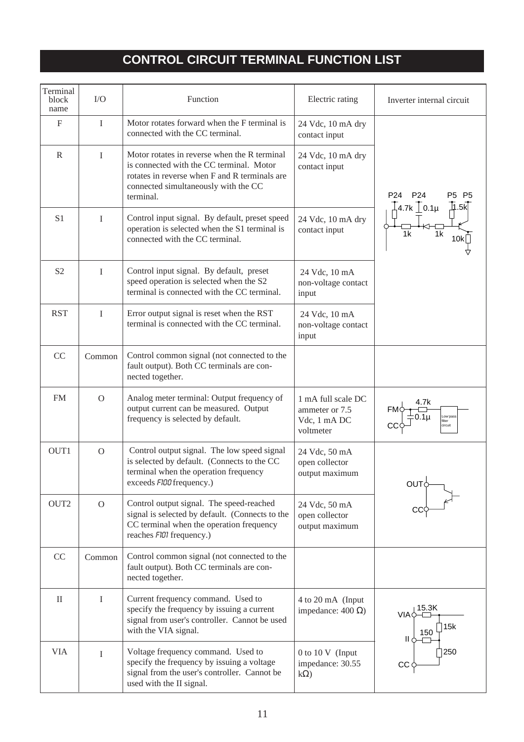# **CONTROL CIRCUIT TERMINAL FUNCTION LIST**

| Terminal<br>block<br>name | $\rm LO$                                                                                                                                                                      | Function<br>Electric rating                                                                                                                                                                    |                                                                   | Inverter internal circuit                             |
|---------------------------|-------------------------------------------------------------------------------------------------------------------------------------------------------------------------------|------------------------------------------------------------------------------------------------------------------------------------------------------------------------------------------------|-------------------------------------------------------------------|-------------------------------------------------------|
| $\boldsymbol{\mathrm{F}}$ | $\mathbf I$                                                                                                                                                                   | Motor rotates forward when the F terminal is<br>connected with the CC terminal.                                                                                                                | 24 Vdc, 10 mA dry<br>contact input                                |                                                       |
| $\mathbb{R}$              | I                                                                                                                                                                             | Motor rotates in reverse when the R terminal<br>is connected with the CC terminal. Motor<br>rotates in reverse when F and R terminals are<br>connected simultaneously with the CC<br>terminal. | 24 Vdc, 10 mA dry<br>contact input                                | P <sub>24</sub><br>P <sub>24</sub><br>P5<br><b>P5</b> |
| S <sub>1</sub>            | Control input signal. By default, preset speed<br>I<br>24 Vdc, 10 mA dry<br>operation is selected when the S1 terminal is<br>contact input<br>connected with the CC terminal. |                                                                                                                                                                                                | $\frac{1}{\sqrt{4}}$ 4.7k $\frac{1}{\sqrt{2}}$ 0.1µ<br>1k<br>1k   |                                                       |
| S <sub>2</sub>            | $\mathbf{I}$                                                                                                                                                                  | Control input signal. By default, preset<br>speed operation is selected when the S2<br>terminal is connected with the CC terminal.                                                             | 24 Vdc, 10 mA<br>non-voltage contact<br>input                     |                                                       |
| <b>RST</b>                | $\mathbf I$                                                                                                                                                                   | Error output signal is reset when the RST<br>terminal is connected with the CC terminal.                                                                                                       | 24 Vdc, 10 mA<br>non-voltage contact<br>input                     |                                                       |
| CC                        | Common                                                                                                                                                                        | Control common signal (not connected to the<br>fault output). Both CC terminals are con-<br>nected together.                                                                                   |                                                                   |                                                       |
| <b>FM</b>                 | $\Omega$                                                                                                                                                                      | Analog meter terminal: Output frequency of<br>output current can be measured. Output<br>frequency is selected by default.                                                                      | 1 mA full scale DC<br>ammeter or 7.5<br>Vdc, 1 mA DC<br>voltmeter | 4.7k<br>Low pass<br>filter<br>circuit                 |
| OUT1                      | $\mathcal{O}$                                                                                                                                                                 | Control output signal. The low speed signal<br>is selected by default. (Connects to the CC<br>terminal when the operation frequency<br>exceeds FI00 frequency.)                                | 24 Vdc, 50 mA<br>open collector<br>output maximum                 | Ουτϕ                                                  |
| OUT2                      | $\overline{O}$                                                                                                                                                                | Control output signal. The speed-reached<br>signal is selected by default. (Connects to the<br>CC terminal when the operation frequency<br>reaches FIDI frequency.)                            | 24 Vdc, 50 mA<br>open collector<br>output maximum                 |                                                       |
| CC                        | Common                                                                                                                                                                        | Control common signal (not connected to the<br>fault output). Both CC terminals are con-<br>nected together.                                                                                   |                                                                   |                                                       |
| $\mathbf{I}$              | I                                                                                                                                                                             | Current frequency command. Used to<br>specify the frequency by issuing a current<br>signal from user's controller. Cannot be used<br>with the VIA signal.                                      | 4 to 20 mA (Input<br>impedance: $400 \Omega$ )                    | 15.3K<br>VIAÓ<br>∏15k<br>150<br>11 Q                  |
| <b>VIA</b>                | $\mathbf{I}$                                                                                                                                                                  | Voltage frequency command. Used to<br>specify the frequency by issuing a voltage<br>signal from the user's controller. Cannot be<br>used with the II signal.                                   | $0$ to $10 \text{ V}$ (Input<br>impedance: 30.55<br>$k\Omega$     | 250<br>CC <sub>0</sub>                                |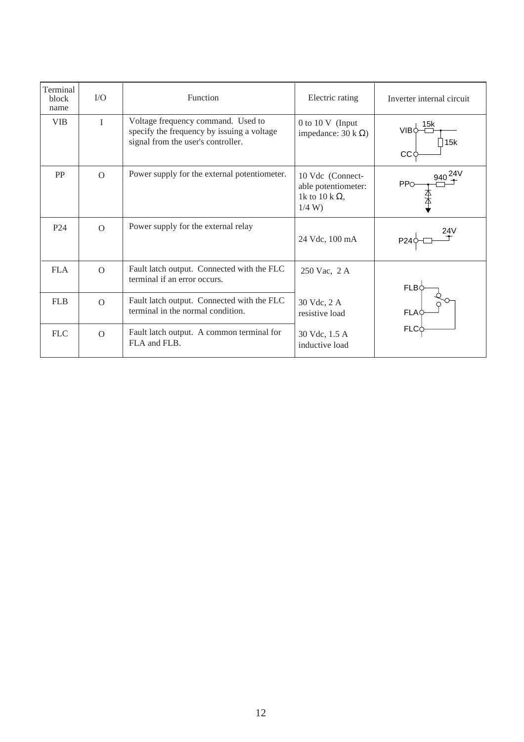| Terminal<br>block<br>name | I/O            | Function                                                                                                               | Electric rating                                                           | Inverter internal circuit  |
|---------------------------|----------------|------------------------------------------------------------------------------------------------------------------------|---------------------------------------------------------------------------|----------------------------|
| <b>VIB</b>                | T              | Voltage frequency command. Used to<br>specify the frequency by issuing a voltage<br>signal from the user's controller. | 0 to 10 V (Input<br>impedance: $30 \text{ k } \Omega$ )                   | 15k<br>VIB¢<br>15k<br>CС   |
| PP                        | $\overline{O}$ | Power supply for the external potentiometer.                                                                           | 10 Vdc (Connect-<br>able potentiometer:<br>1k to 10 k $\Omega$ ,<br>1/4 W | $940^{24V}$<br><b>PP</b> O |
| P <sub>24</sub>           | $\Omega$       | Power supply for the external relay                                                                                    | 24 Vdc, 100 mA                                                            | 24V<br>P <sub>24</sub>     |
| <b>FLA</b>                | $\Omega$       | Fault latch output. Connected with the FLC<br>terminal if an error occurs.                                             | 250 Vac, 2 A                                                              | $FLB\zeta$                 |
| <b>FLB</b>                | $\Omega$       | Fault latch output. Connected with the FLC<br>terminal in the normal condition.                                        | 30 Vdc, 2 A<br>resistive load                                             | <b>FLA</b>                 |
| <b>FLC</b>                | $\Omega$       | Fault latch output. A common terminal for<br>FLA and FLB.                                                              | 30 Vdc, 1.5 A<br>inductive load                                           | <b>FLC</b>                 |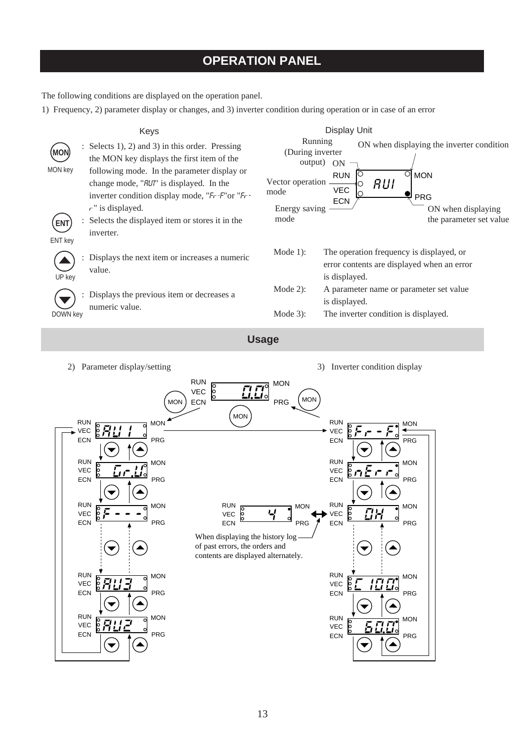# **OPERATION PANEL**

The following conditions are displayed on the operation panel.

RUN  $\overline{R}$   $\overline{R}$   $\overline{R}$   $\overline{R}$   $\overline{R}$   $\overline{R}$   $\overline{R}$   $\overline{R}$   $\overline{R}$   $\overline{R}$   $\overline{R}$   $\overline{R}$   $\overline{R}$   $\overline{R}$   $\overline{R}$   $\overline{R}$   $\overline{R}$   $\overline{R}$   $\overline{R}$   $\overline{R}$   $\overline{R}$   $\overline{R}$   $\overline{R}$   $\overline{R}$ 

 $\frac{8}{6}$   $\frac{1}{2}$   $\frac{1}{2}$   $\frac{8}{3}$  MON

 $\blacktriangledown$ 

▲

▲

VEC ECN

> VEC ECN

PRG

PRG

1) Frequency, 2) parameter display or changes, and 3) inverter condition during operation or in case of an error

| MON<br>MON key<br><b>ENT</b><br>ENT key<br>UP key<br>DOWN key | Keys<br>Selects 1), 2) and 3) in this order. Pressing<br>the MON key displays the first item of the<br>following mode. In the parameter display or<br>change mode, "RUI" is displayed. In the<br>inverter condition display mode, "Fr-F" or "Fr-<br>$r$ " is displayed.<br>Selects the displayed item or stores it in the<br>inverter.<br>Displays the next item or increases a numeric<br>value.<br>Displays the previous item or decreases a<br>numeric value. | Running<br>(During inverter<br>output)<br>Vector operation.<br>mode<br>Energy saving<br>mode<br>Mode $1$ :<br>Mode 2):<br>Mode $3$ : | <b>Display Unit</b><br>ON when displaying the inverter condition<br>ON<br>$\circ$<br><b>MON</b><br><b>RUN</b><br><b>RUI</b><br><b>VEC</b><br>PRG<br><b>ECN</b><br>ON when displaying<br>the parameter set value<br>The operation frequency is displayed, or<br>error contents are displayed when an error<br>is displayed.<br>A parameter name or parameter set value<br>is displayed.<br>The inverter condition is displayed. |
|---------------------------------------------------------------|------------------------------------------------------------------------------------------------------------------------------------------------------------------------------------------------------------------------------------------------------------------------------------------------------------------------------------------------------------------------------------------------------------------------------------------------------------------|--------------------------------------------------------------------------------------------------------------------------------------|--------------------------------------------------------------------------------------------------------------------------------------------------------------------------------------------------------------------------------------------------------------------------------------------------------------------------------------------------------------------------------------------------------------------------------|
|                                                               |                                                                                                                                                                                                                                                                                                                                                                                                                                                                  | <b>Usage</b>                                                                                                                         |                                                                                                                                                                                                                                                                                                                                                                                                                                |
| ECN                                                           | 2) Parameter display/setting<br><b>RUN</b><br>$\overline{60}$<br><i>اتا ا⊾</i><br><b>VEC</b><br><b>ECN</b><br><b>MON</b><br><b>MON</b><br><b>RUN</b><br><b>MON</b><br>Ó<br>VEC<br>PRG<br><b>RUN</b><br><b>MON</b><br><b>VEC</b><br><u>பட்டி</u><br>PRG<br>ECN<br><b>RUN</b><br><b>RUN</b><br><b>MON</b><br>${\sf VEC}$<br><b>VEC</b><br>O<br><b>PRG</b><br><b>ECN</b><br><b>ECN</b><br>When displaying the history log<br>of past errors, the orders and         | <b>MON</b><br>i.ŁI∘l<br><b>MON</b><br>PRG<br><b>MON</b><br>PRG                                                                       | 3) Inverter condition display<br><b>RUN</b><br><b>MON</b><br><b>VEC</b><br>PRG<br><b>ECN</b><br><b>RUN</b><br><b>MON</b><br><b>VEC</b><br>$\circ$<br>PRG<br>ECN<br><b>RUN</b><br><b>MON</b><br>ိ<br>[]}<br>VEC<br>d<br><b>ECN</b><br>PRG                                                                                                                                                                                       |

contents are displayed alternately.

RUN  $\overline{R}$   $\overline{R}$   $\overline{R}$   $\overline{R}$   $\overline{R}$   $\overline{R}$   $\overline{R}$   $\overline{R}$   $\overline{R}$   $\overline{R}$   $\overline{R}$   $\overline{R}$   $\overline{R}$   $\overline{R}$   $\overline{R}$   $\overline{R}$   $\overline{R}$   $\overline{R}$   $\overline{R}$   $\overline{R}$   $\overline{R}$   $\overline{R}$   $\overline{R}$   $\overline{R}$ 

RUN  $\frac{1}{\sqrt{2}}$  =  $\frac{1}{\sqrt{2}}$  MON

VEC ECN

VEC ECN PRG

PRG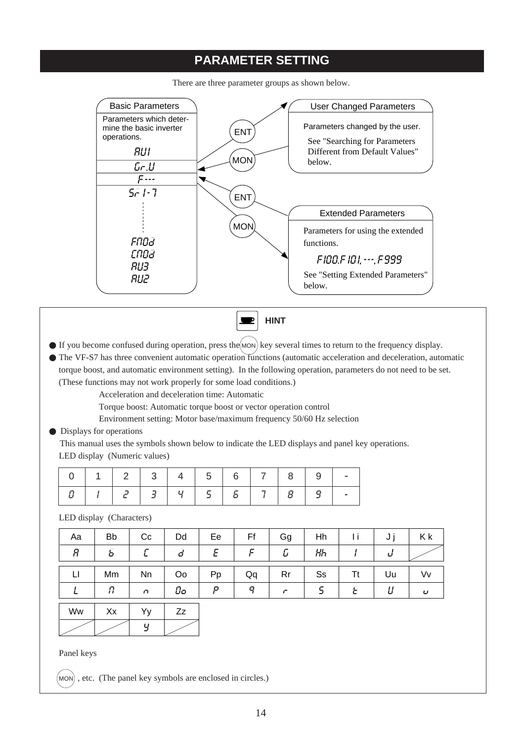# **PARAMETER SETTING**



There are three parameter groups as shown below.

**HINT** $\blacksquare$ 

- $\bullet$  If you become confused during operation, press the  $(MON)$  key several times to return to the frequency display.
- The VF-S7 has three convenient automatic operation functions (automatic acceleration and deceleration, automatic torque boost, and automatic environment setting). In the following operation, parameters do not need to be set. (These functions may not work properly for some load conditions.)

Acceleration and deceleration time: Automatic

Torque boost: Automatic torque boost or vector operation control

Environment setting: Motor base/maximum frequency 50/60 Hz selection

● Displays for operations

 This manual uses the symbols shown below to indicate the LED displays and panel key operations. LED display (Numeric values)

|                                           |  | $12$ 3 4 5 6 7                |  |  |  |
|-------------------------------------------|--|-------------------------------|--|--|--|
| $\mathcal{A} = \{x_1, x_2, \ldots, x_n\}$ |  | 2   3   4   5   6   7   8   9 |  |  |  |

LED display (Characters)

| Aa | <b>Bb</b> | Cc             | Dd | Ee | Ff | Gg | Hh             | Ιi | ັບ | K k            |
|----|-----------|----------------|----|----|----|----|----------------|----|----|----------------|
| Я  | ъ         |                | d  | Ε  |    | U  | HЬ             |    | ப  |                |
| LI | Mm        | Nn             | Oo | Pp | Qq | Rr | S <sub>S</sub> | Tt | Uu | Vv             |
|    | Ω<br>Ħ    | $\overline{a}$ | Ūο | p  | o  | r  |                |    | ப  | $\overline{U}$ |
|    |           |                |    |    |    |    |                |    |    |                |

Ww  $\vert$  Xx  $\vert$  Yy Y Zz

Panel keys

 $($ MON $)$ , etc. (The panel key symbols are enclosed in circles.)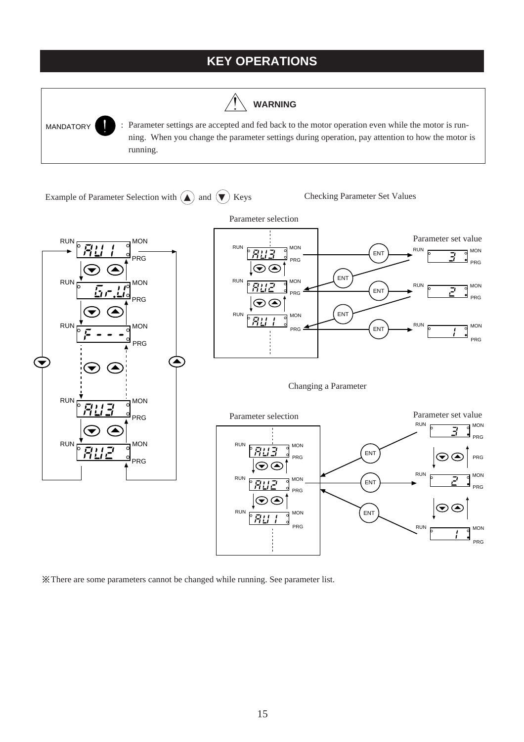# **KEY OPERATIONS**

**WARNING**



Parameter settings are accepted and fed back to the motor operation even while the motor is running. When you change the parameter settings during operation, pay attention to how the motor is running.

Example of Parameter Selection with  $\bigodot$  and  $\bigodot$  Keys Checking Parameter Set Values







There are some parameters cannot be changed while running. See parameter list.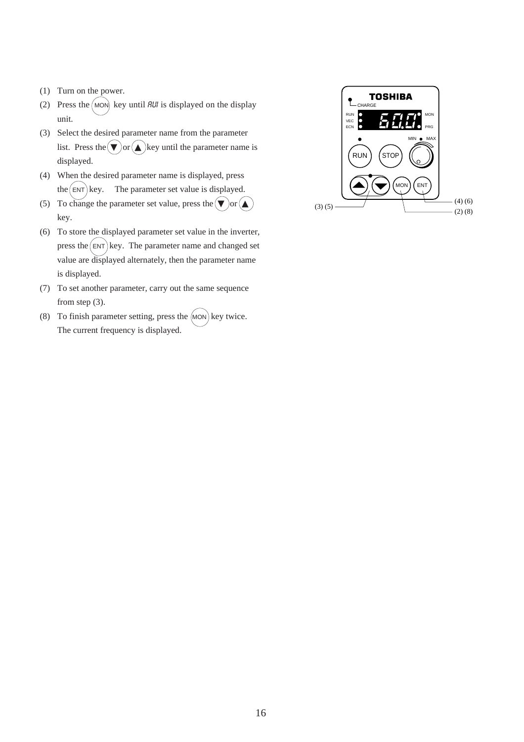- (1) Turn on the power.
- (2) Press the  $(MON)$  key until *RUI* is displayed on the display unit.
- (3) Select the desired parameter name from the parameter list. Press the  $\mathbf{\nabla})$  or  $\mathbf{\Delta}$  key until the parameter name is displayed.
- (4) When the desired parameter name is displayed, press the  $(ENT)$  key. The parameter set value is displayed.
- (5) To change the parameter set value, press the  $\binom{\bullet}{\bullet}$  or  $\binom{\bullet}{\bullet}$ key.
- (6) To store the displayed parameter set value in the inverter, press the  $(ENT)$  key. The parameter name and changed set value are displayed alternately, then the parameter name is displayed.
- (7) To set another parameter, carry out the same sequence from step (3).
- (8) To finish parameter setting, press the  $(MON)$  key twice. The current frequency is displayed.

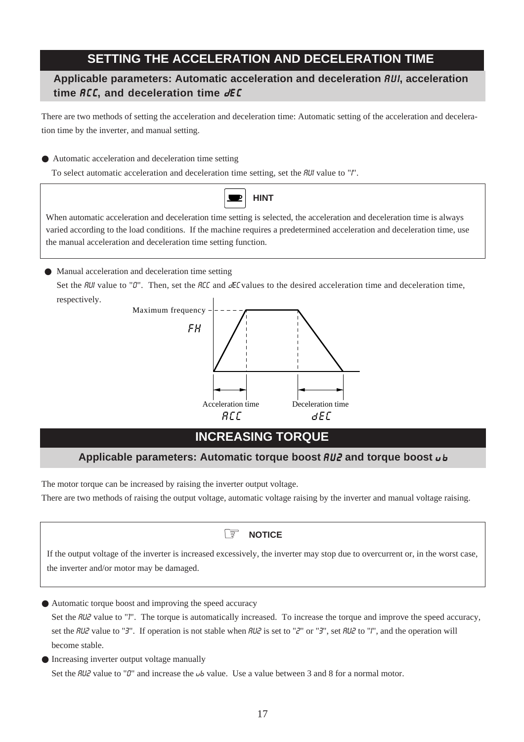# **SETTING THE ACCELERATION AND DECELERATION TIME**

## **Applicable parameters: Automatic acceleration and deceleration** AUI**, acceleration time ACC, and deceleration time**  $dE$ **C**

There are two methods of setting the acceleration and deceleration time: Automatic setting of the acceleration and deceleration time by the inverter, and manual setting.

● Automatic acceleration and deceleration time setting

To select automatic acceleration and deceleration time setting, set the *RUI* value to "*I*".



When automatic acceleration and deceleration time setting is selected, the acceleration and deceleration time is always varied according to the load conditions. If the machine requires a predetermined acceleration and deceleration time, use the manual acceleration and deceleration time setting function.

● Manual acceleration and deceleration time setting

Set the  $HUI$  value to "0". Then, set the  $HCE$  and  $EEC$  values to the desired acceleration time and deceleration time, respectively.



# **INCREASING TORQUE**

# **Applicable parameters: Automatic torque boost** AU2 **and torque boost** 0 8

The motor torque can be increased by raising the inverter output voltage.

There are two methods of raising the output voltage, automatic voltage raising by the inverter and manual voltage raising.

### ☞ **NOTICE**

If the output voltage of the inverter is increased excessively, the inverter may stop due to overcurrent or, in the worst case, the inverter and/or motor may be damaged.

● Automatic torque boost and improving the speed accuracy

Set the *RU2* value to "*1*". The torque is automatically increased. To increase the torque and improve the speed accuracy, set the RU2 value to "3". If operation is not stable when RU2 is set to "2" or "3", set RU2 to "I", and the operation will become stable.

● Increasing inverter output voltage manually Set the  $B\ddot{B}$  value to "0" and increase the  $\omega b$  value. Use a value between 3 and 8 for a normal motor.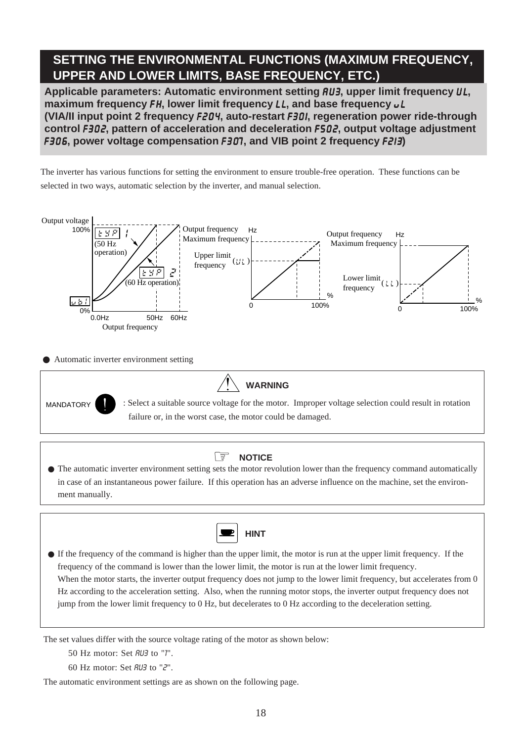# **SETTING THE ENVIRONMENTAL FUNCTIONS (MAXIMUM FREQUENCY, UPPER AND LOWER LIMITS, BASE FREQUENCY, ETC.)**

Applicable parameters: Automatic environment setting  $AUS$ , upper limit frequency UL, **maximum frequency FH, lower limit frequency LL, and base frequency**  $\nu L$ **(VIA/II input point 2 frequency** F204**, auto-restart** F30I**, regeneration power ride-through control** F302**, pattern of acceleration and deceleration** F502**, output voltage adjustment** F306**, power voltage compensation** F307**, and VIB point 2 frequency** F2I3**)**

The inverter has various functions for setting the environment to ensure trouble-free operation. These functions can be selected in two ways, automatic selection by the inverter, and manual selection.



● Automatic inverter environment setting



MANDATORY : Select a suitable source voltage for the motor. Improper voltage selection could result in rotation failure or, in the worst case, the motor could be damaged.

#### ☞ **NOTICE**

● The automatic inverter environment setting sets the motor revolution lower than the frequency command automatically in case of an instantaneous power failure. If this operation has an adverse influence on the machine, set the environment manually.

**WARNING**



● If the frequency of the command is higher than the upper limit, the motor is run at the upper limit frequency. If the frequency of the command is lower than the lower limit, the motor is run at the lower limit frequency. When the motor starts, the inverter output frequency does not jump to the lower limit frequency, but accelerates from 0 Hz according to the acceleration setting. Also, when the running motor stops, the inverter output frequency does not jump from the lower limit frequency to 0 Hz, but decelerates to 0 Hz according to the deceleration setting.

The set values differ with the source voltage rating of the motor as shown below:

50 Hz motor: Set AU3 to "1".

60 Hz motor: Set AU3 to "2".

The automatic environment settings are as shown on the following page.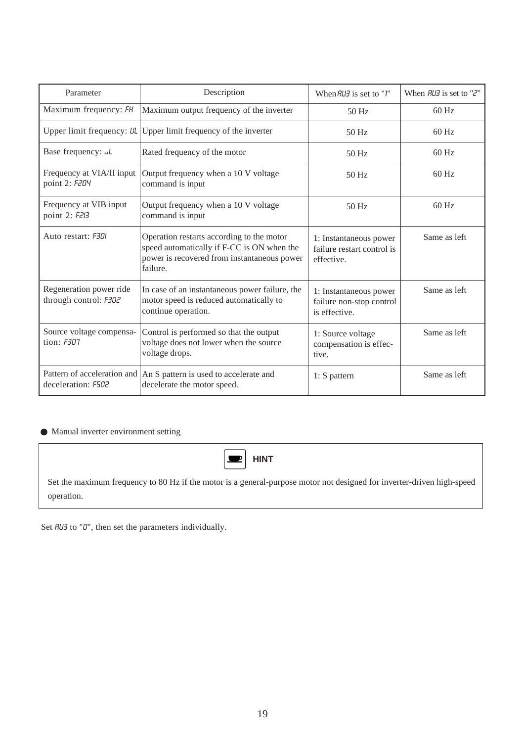| Parameter                                        | Description                                                                                                                                        | When $RU3$ is set to " <i>l</i> "                                   | When $RUB$ is set to " $Z$ " |  |
|--------------------------------------------------|----------------------------------------------------------------------------------------------------------------------------------------------------|---------------------------------------------------------------------|------------------------------|--|
| Maximum frequency: FH                            | Maximum output frequency of the inverter                                                                                                           | $50$ Hz                                                             | $60$ Hz                      |  |
| Upper limit frequency: UL                        | Upper limit frequency of the inverter                                                                                                              | 50 Hz                                                               | $60$ Hz                      |  |
| Base frequency: uL                               | Rated frequency of the motor                                                                                                                       | $50$ Hz                                                             | $60$ Hz                      |  |
| Frequency at VIA/II input<br>point 2: F204       | Output frequency when a 10 V voltage<br>command is input                                                                                           | $50$ Hz                                                             | $60$ Hz                      |  |
| Frequency at VIB input<br>point 2: F2I3          | Output frequency when a 10 V voltage<br>command is input                                                                                           | 50 Hz                                                               | $60$ Hz                      |  |
| Auto restart: F301                               | Operation restarts according to the motor<br>speed automatically if F-CC is ON when the<br>power is recovered from instantaneous power<br>failure. | 1: Instantaneous power<br>failure restart control is<br>effective.  | Same as left                 |  |
| Regeneration power ride<br>through control: F302 | In case of an instantaneous power failure, the<br>motor speed is reduced automatically to<br>continue operation.                                   | 1: Instantaneous power<br>failure non-stop control<br>is effective. | Same as left                 |  |
| Source voltage compensa-<br>tion: <i>F307</i>    | Control is performed so that the output<br>voltage does not lower when the source<br>voltage drops.                                                | 1: Source voltage<br>compensation is effec-<br>tive.                | Same as left                 |  |
| deceleration: F502                               | Pattern of acceleration and An S pattern is used to accelerate and<br>decelerate the motor speed.                                                  | $1: S$ pattern                                                      | Same as left                 |  |

### ● Manual inverter environment setting

| $\left  \blacksquare \right $ HINT                                                                                                   |
|--------------------------------------------------------------------------------------------------------------------------------------|
| Set the maximum frequency to 80 Hz if the motor is a general-purpose motor not designed for inverter-driven high-speed<br>operation. |

Set  $RU3$  to "0", then set the parameters individually.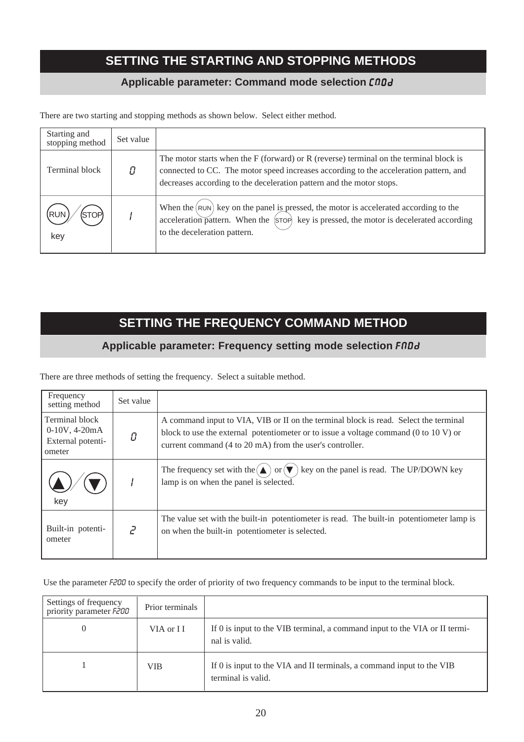# **SETTING THE STARTING AND STOPPING METHODS**

### **Applicable parameter: Command mode selection CnOd**

There are two starting and stopping methods as shown below. Select either method.

| Starting and<br>stopping method | Set value |                                                                                                                                                                                                                                                             |
|---------------------------------|-----------|-------------------------------------------------------------------------------------------------------------------------------------------------------------------------------------------------------------------------------------------------------------|
| Terminal block                  |           | The motor starts when the $F$ (forward) or $R$ (reverse) terminal on the terminal block is<br>connected to CC. The motor speed increases according to the acceleration pattern, and<br>decreases according to the deceleration pattern and the motor stops. |
| key                             |           | When the $(\text{run})$ key on the panel is pressed, the motor is accelerated according to the<br>acceleration pattern. When the (STOP) key is pressed, the motor is decelerated according<br>to the deceleration pattern.                                  |

# **SETTING THE FREQUENCY COMMAND METHOD**

### Applicable parameter: Frequency setting mode selection **FNDd**

There are three methods of setting the frequency. Select a suitable method.

| Frequency<br>setting method                                      | Set value     |                                                                                                                                                                                                                                                             |
|------------------------------------------------------------------|---------------|-------------------------------------------------------------------------------------------------------------------------------------------------------------------------------------------------------------------------------------------------------------|
| Terminal block<br>$0-10V, 4-20mA$<br>External potenti-<br>ometer | Ω             | A command input to VIA, VIB or II on the terminal block is read. Select the terminal<br>block to use the external potentiometer or to issue a voltage command $(0 \text{ to } 10 \text{ V})$ or<br>current command (4 to 20 mA) from the user's controller. |
| key                                                              |               | key on the panel is read. The UP/DOWN key<br>The frequency set with the $(\triangle)$ or $(\blacktriangledown)$<br>lamp is on when the panel is selected.                                                                                                   |
| Built-in potenti-<br>ometer                                      | $\mathcal{L}$ | The value set with the built-in potentiometer is read. The built-in potentiometer lamp is<br>on when the built-in potentiometer is selected.                                                                                                                |

Use the parameter F200 to specify the order of priority of two frequency commands to be input to the terminal block.

| Settings of frequency<br>priority parameter F200 | Prior terminals |                                                                                             |
|--------------------------------------------------|-----------------|---------------------------------------------------------------------------------------------|
|                                                  | VIA or II       | If 0 is input to the VIB terminal, a command input to the VIA or II termi-<br>nal is valid. |
|                                                  | <b>VIB</b>      | If 0 is input to the VIA and II terminals, a command input to the VIB<br>terminal is valid. |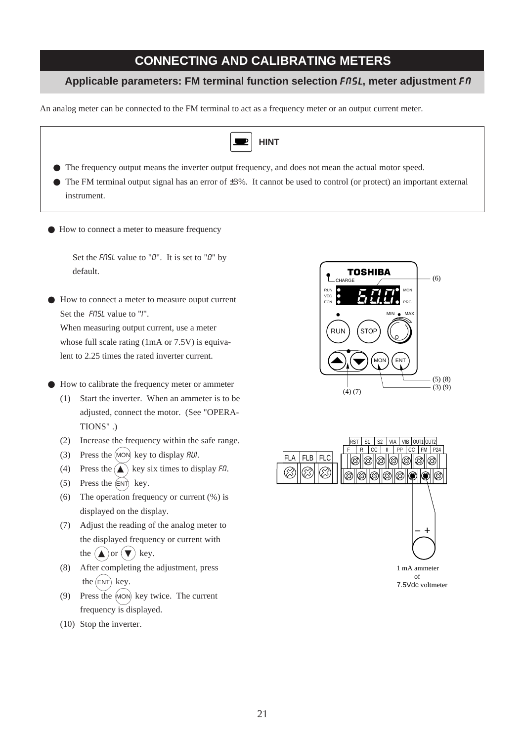# **CONNECTING AND CALIBRATING METERS**

### **Applicable parameters: FM terminal function selection** FOSL**, meter adjustment** F O

An analog meter can be connected to the FM terminal to act as a frequency meter or an output current meter.



● How to connect a meter to measure ouput current

Set the *FnSL* value to "I". When measuring output current, use a meter whose full scale rating (1mA or 7.5V) is equivalent to 2.25 times the rated inverter current.

- How to calibrate the frequency meter or ammeter
	- (1) Start the inverter. When an ammeter is to be adjusted, connect the motor. (See "OPERA-TIONS" .)
	- (2) Increase the frequency within the safe range.
	- (3) Press the  $(MON)$  key to display  $RUI$ .
	- (4) Press the  $\left(\bigwedge\right)$  key six times to display Fn.
	- (5) Press the  $(ENT)$  key.

default.

- (6) The operation frequency or current (%) is displayed on the display.
- (7) Adjust the reading of the analog meter to the displayed frequency or current with the  $(\triangle)$  or  $(\blacktriangledown)$  key.
- (8) After completing the adjustment, press the  $(ENT)$  key.
- (9) Press the (MON) key twice. The current frequency is displayed.
- (10) Stop the inverter.



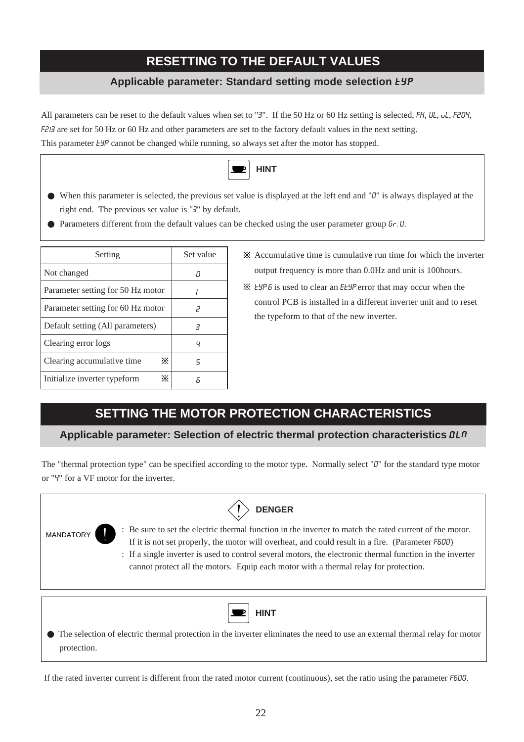# **RESETTING TO THE DEFAULT VALUES**

### **Applicable parameter: Standard setting mode selection** EYP

All parameters can be reset to the default values when set to "3". If the 50 Hz or 60 Hz setting is selected, FH, UL, UL, F204, F213 are set for 50 Hz or 60 Hz and other parameters are set to the factory default values in the next setting. This parameter *EYP* cannot be changed while running, so always set after the motor has stopped.



- When this parameter is selected, the previous set value is displayed at the left end and "0" is always displayed at the right end. The previous set value is "3" by default.
- Parameters different from the default values can be checked using the user parameter group  $6r$ . U.

| Setting                           | Set value |  |  |
|-----------------------------------|-----------|--|--|
| Not changed                       |           |  |  |
| Parameter setting for 50 Hz motor |           |  |  |
| Parameter setting for 60 Hz motor | 2         |  |  |
| Default setting (All parameters)  | 3         |  |  |
| Clearing error logs               | ч         |  |  |
| ⋇<br>Clearing accumulative time.  | ς         |  |  |
| ፠<br>Initialize inverter typeform | я         |  |  |

 $\mathbb X$  Accumulative time is cumulative run time for which the inverter output frequency is more than 0.0Hz and unit is 100hours.

EYP 6 is used to clear an EEYP error that may occur when the control PCB is installed in a different inverter unit and to reset the typeform to that of the new inverter.

# **SETTING THE MOTOR PROTECTION CHARACTERISTICS**

### Applicable parameter: Selection of electric thermal protection characteristics  $\Omega L \Omega$

The "thermal protection type" can be specified according to the motor type. Normally select "0" for the standard type motor or "4" for a VF motor for the inverter.

| <b>DENGER</b>                                                                                                                                                                                                                                                                                                                                                                                                                        |  |
|--------------------------------------------------------------------------------------------------------------------------------------------------------------------------------------------------------------------------------------------------------------------------------------------------------------------------------------------------------------------------------------------------------------------------------------|--|
| : Be sure to set the electric thermal function in the inverter to match the rated current of the motor.<br><b>MANDATORY</b><br>If it is not set properly, the motor will overheat, and could result in a fire. (Parameter F600)<br>: If a single inverter is used to control several motors, the electronic thermal function in the inverter<br>cannot protect all the motors. Equip each motor with a thermal relay for protection. |  |
| <b>HINT</b><br>• The selection of electric thermal protection in the inverter eliminates the need to use an external thermal relay for motor<br>protection.                                                                                                                                                                                                                                                                          |  |

If the rated inverter current is different from the rated motor current (continuous), set the ratio using the parameter F600.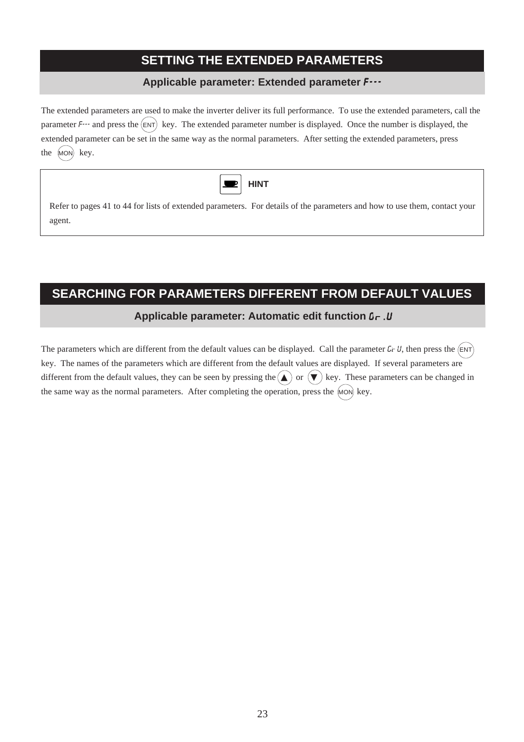# **SETTING THE EXTENDED PARAMETERS**

### **Applicable parameter: Extended parameter** F---

The extended parameters are used to make the inverter deliver its full performance. To use the extended parameters, call the parameter  $F^{-1}$  and press the  $(ENT)$  key. The extended parameter number is displayed. Once the number is displayed, the extended parameter can be set in the same way as the normal parameters. After setting the extended parameters, press the (MON) key.

| н<br>ш<br>÷V. |
|---------------|
|               |

Refer to pages 41 to 44 for lists of extended parameters. For details of the parameters and how to use them, contact your agent.

# **SEARCHING FOR PARAMETERS DIFFERENT FROM DEFAULT VALUES**

### **Applicable parameter: Automatic edit function**  $0 - U$

The parameters which are different from the default values can be displayed. Call the parameter  $G \sim U$ , then press the  $(ENT)$ key. The names of the parameters which are different from the default values are displayed. If several parameters are different from the default values, they can be seen by pressing the  $(\triangle)$  or  $(\blacktriangledown)$  key. These parameters can be changed in the same way as the normal parameters. After completing the operation, press the  $(\text{MON})$  key.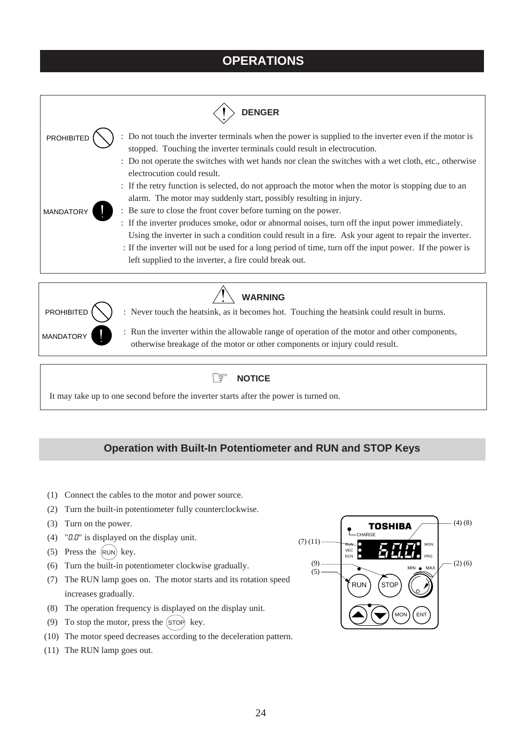# **OPERATIONS**





**WARNING**

: Never touch the heatsink, as it becomes hot. Touching the heatsink could result in burns.

: Run the inverter within the allowable range of operation of the motor and other components, otherwise breakage of the motor or other components or injury could result.



It may take up to one second before the inverter starts after the power is turned on.

### **Operation with Built-In Potentiometer and RUN and STOP Keys**

- (1) Connect the cables to the motor and power source.
- (2) Turn the built-in potentiometer fully counterclockwise.
- (3) Turn on the power.
- (4) " $0.0$ " is displayed on the display unit.
- (5) Press the  $(RUN)$  key.
- (6) Turn the built-in potentiometer clockwise gradually.
- (7) The RUN lamp goes on. The motor starts and its rotation speed increases gradually.
- (8) The operation frequency is displayed on the display unit.
- (9) To stop the motor, press the  $(STOP)$  key.
- (10) The motor speed decreases according to the deceleration pattern.
- (11) The RUN lamp goes out.

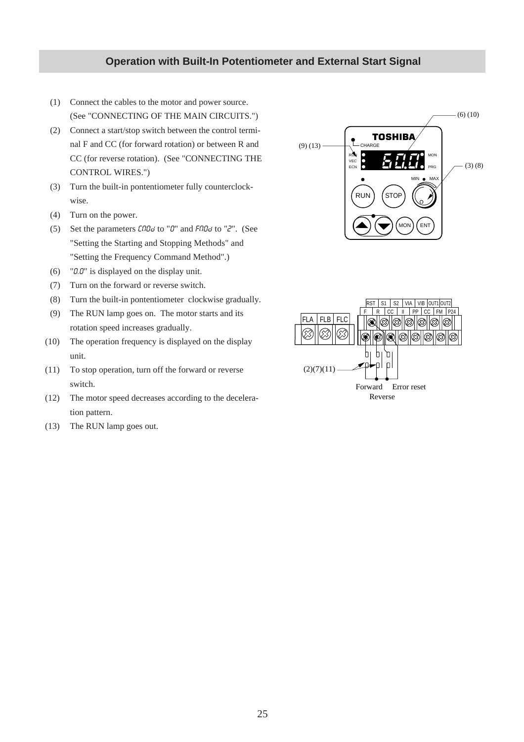### **Operation with Built-In Potentiometer and External Start Signal**

- (1) Connect the cables to the motor and power source. (See "CONNECTING OF THE MAIN CIRCUITS.")
- (2) Connect a start/stop switch between the control terminal F and CC (for forward rotation) or between R and CC (for reverse rotation). (See "CONNECTING THE CONTROL WIRES.")
- (3) Turn the built-in pontentiometer fully counterclockwise.
- (4) Turn on the power.
- (5) Set the parameters  $\mathcal{L} \cap \mathcal{L}$  of  $\mathcal{L} \cap \mathcal{L}$  and  $\mathcal{L} \cap \mathcal{L}$  to " $\mathcal{L}$ ". (See "Setting the Starting and Stopping Methods" and "Setting the Frequency Command Method".)
- (6) " $0.0$ " is displayed on the display unit.
- (7) Turn on the forward or reverse switch.
- (8) Turn the built-in pontentiometer clockwise gradually.
- (9) The RUN lamp goes on. The motor starts and its rotation speed increases gradually.
- (10) The operation frequency is displayed on the display unit.
- (11) To stop operation, turn off the forward or reverse switch.
- (12) The motor speed decreases according to the deceleration pattern.
- (13) The RUN lamp goes out.



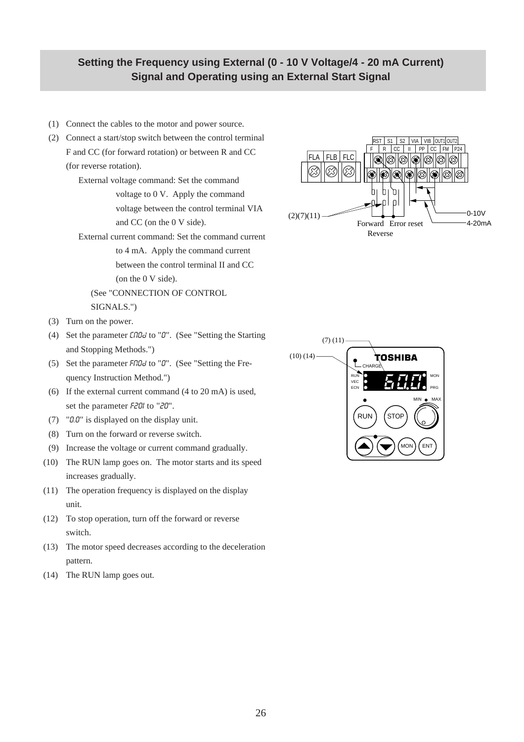### **Setting the Frequency using External (0 - 10 V Voltage/4 - 20 mA Current) Signal and Operating using an External Start Signal**

- (1) Connect the cables to the motor and power source.
- (2) Connect a start/stop switch between the control terminal F and CC (for forward rotation) or between R and CC (for reverse rotation).

External voltage command: Set the command voltage to 0 V. Apply the command voltage between the control terminal VIA and CC (on the 0 V side).

External current command: Set the command current to 4 mA. Apply the command current between the control terminal II and CC (on the 0 V side).

(See "CONNECTION OF CONTROL SIGNALS.")

- (3) Turn on the power.
- (4) Set the parameter  $\mathcal{L} \cap \mathcal{D}$  to " $\mathcal{D}$ ". (See "Setting the Starting and Stopping Methods.")
- (5) Set the parameter  $F \cap \Box G$  to " $\Box$ ". (See "Setting the Frequency Instruction Method.")
- (6) If the external current command (4 to 20 mA) is used, set the parameter F20I to "20".
- (7) "0.0" is displayed on the display unit.
- (8) Turn on the forward or reverse switch.
- (9) Increase the voltage or current command gradually.
- (10) The RUN lamp goes on. The motor starts and its speed increases gradually.
- (11) The operation frequency is displayed on the display unit.
- (12) To stop operation, turn off the forward or reverse switch.
- (13) The motor speed decreases according to the deceleration pattern.
- (14) The RUN lamp goes out.



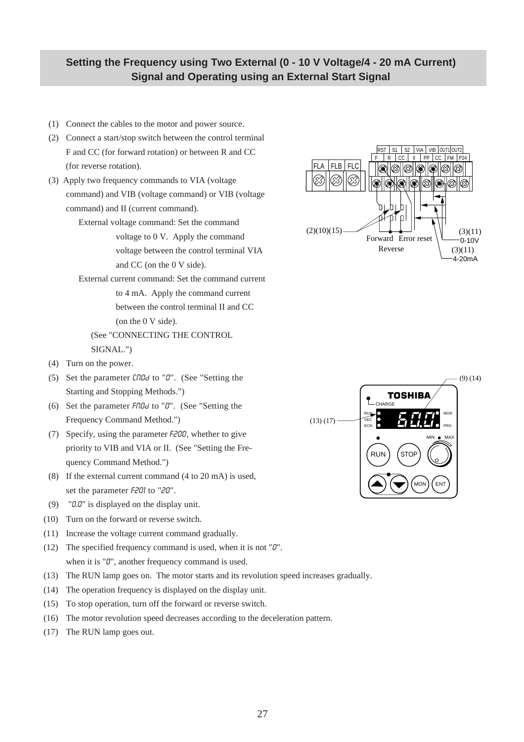### **Setting the Frequency using Two External (0 - 10 V Voltage/4 - 20 mA Current) Signal and Operating using an External Start Signal**

- (1) Connect the cables to the motor and power source.
- (2) Connect a start/stop switch between the control terminal F and CC (for forward rotation) or between R and CC (for reverse rotation).
- (3) Apply two frequency commands to VIA (voltage command) and VIB (voltage command) or VIB (voltage command) and II (current command).

External voltage command: Set the command voltage to 0 V. Apply the command voltage between the control terminal VIA and CC (on the 0 V side).

External current command: Set the command current to 4 mA. Apply the command current between the control terminal II and CC (on the 0 V side). (See "CONNECTING THE CONTROL

SIGNAL.")

- (4) Turn on the power.
- (5) Set the parameter  $\text{C} \cap \text{D}$  to " $\text{D}$ ". (See "Setting the Starting and Stopping Methods.")
- (6) Set the parameter  $F \cap B$ d to " $\theta$ ". (See "Setting the Frequency Command Method.")
- (7) Specify, using the parameter F200, whether to give priority to VIB and VIA or II. (See "Setting the Frequency Command Method.")
- (8) If the external current command (4 to 20 mA) is used, set the parameter F201 to "20".
- (9) " $0.0$ " is displayed on the display unit.
- (10) Turn on the forward or reverse switch.
- (11) Increase the voltage current command gradually.
- (12) The specified frequency command is used, when it is not " $\theta$ ". when it is "0", another frequency command is used.
- (13) The RUN lamp goes on. The motor starts and its revolution speed increases gradually.
- (14) The operation frequency is displayed on the display unit.
- (15) To stop operation, turn off the forward or reverse switch.
- (16) The motor revolution speed decreases according to the deceleration pattern.
- (17) The RUN lamp goes out.





27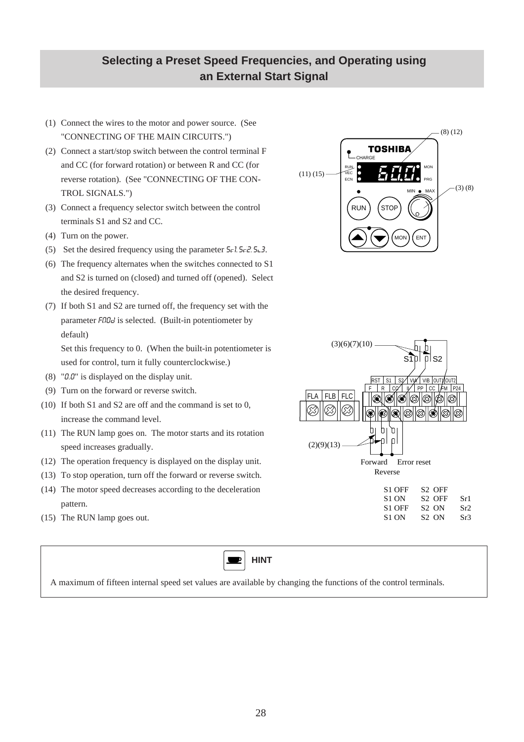# **Selecting a Preset Speed Frequencies, and Operating using an External Start Signal**

- (1) Connect the wires to the motor and power source. (See "CONNECTING OF THE MAIN CIRCUITS.")
- (2) Connect a start/stop switch between the control terminal F and CC (for forward rotation) or between R and CC (for reverse rotation). (See "CONNECTING OF THE CON-TROL SIGNALS.")
- (3) Connect a frequency selector switch between the control terminals S1 and S2 and CC.
- (4) Turn on the power.
- (5) Set the desired frequency using the parameter  $5-1$ .  $5-2$ .  $5-3$ .
- (6) The frequency alternates when the switches connected to S1 and S2 is turned on (closed) and turned off (opened). Select the desired frequency.
- (7) If both S1 and S2 are turned off, the frequency set with the parameter FOOd is selected. (Built-in potentiometer by default)

Set this frequency to 0. (When the built-in potentiometer is used for control, turn it fully counterclockwise.)

- (8) " $0.0$ " is displayed on the display unit.
- (9) Turn on the forward or reverse switch.
- (10) If both S1 and S2 are off and the command is set to 0, increase the command level.
- (11) The RUN lamp goes on. The motor starts and its rotation speed increases gradually.
- (12) The operation frequency is displayed on the display unit.
- (13) To stop operation, turn off the forward or reverse switch.
- (14) The motor speed decreases according to the deceleration pattern.
- (15) The RUN lamp goes out.



A maximum of fifteen internal speed set values are available by changing the functions of the control terminals.



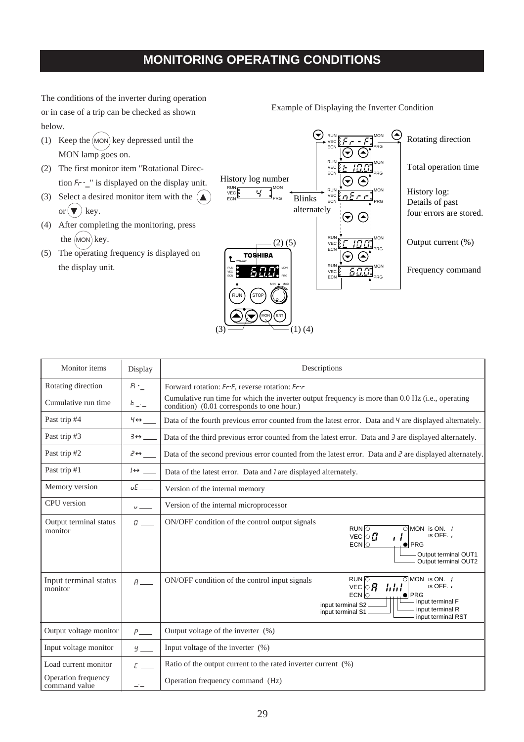# **MONITORING OPERATING CONDITIONS**

The conditions of the inverter during operation or in case of a trip can be checked as shown below.

- (1) Keep the  $(MON)$  key depressed until the MON lamp goes on.
- (2) The first monitor item "Rotational Direction  $Fr$  -\_" is displayed on the display unit.
- (3) Select a desired monitor item with the  $\left(\triangle\right)$ or  $(\blacktriangledown)$  key.
- (4) After completing the monitoring, press the  $(MON)$  key.
- (5) The operating frequency is displayed on the display unit.



| Monitor items                        | Display                   | Descriptions                                                                                                                                                                                                                           |  |  |  |  |  |
|--------------------------------------|---------------------------|----------------------------------------------------------------------------------------------------------------------------------------------------------------------------------------------------------------------------------------|--|--|--|--|--|
| Rotating direction                   | $Fr_{-}$                  | Forward rotation: Fr-F, reverse rotation: Fr-r                                                                                                                                                                                         |  |  |  |  |  |
| Cumulative run time                  | $b \perp -$               | Cumulative run time for which the inverter output frequency is more than 0.0 Hz (i.e., operating<br>condition) (0.01 corresponds to one hour.)                                                                                         |  |  |  |  |  |
| Past trip #4                         | $4 \leftrightarrow$       | Data of the fourth previous error counted from the latest error. Data and 4 are displayed alternately.                                                                                                                                 |  |  |  |  |  |
| Past trip #3                         | $\exists \leftrightarrow$ | Data of the third previous error counted from the latest error. Data and $\bar{\sigma}$ are displayed alternately.                                                                                                                     |  |  |  |  |  |
| Past trip #2                         | $2 \leftrightarrow$       | Data of the second previous error counted from the latest error. Data and $\bar{c}$ are displayed alternately.                                                                                                                         |  |  |  |  |  |
| Past trip #1                         | $I \leftrightarrow \_$    | Data of the latest error. Data and <i>l</i> are displayed alternately.                                                                                                                                                                 |  |  |  |  |  |
| Memory version                       | $\nu E$                   | Version of the internal memory                                                                                                                                                                                                         |  |  |  |  |  |
| CPU version                          | $\cup$ $\qquad$           | Version of the internal microprocessor                                                                                                                                                                                                 |  |  |  |  |  |
| Output terminal status<br>monitor    | $\theta =$                | ON/OFF condition of the control output signals<br>$RUN$ $\overline{O}$<br>$OMON$ is ON. $\ell$<br>is OFF. $\prime$<br>VEC $\circ$ $\boldsymbol{C}$<br>ιi<br>ECN<br>$\bullet$ PRG<br>Output terminal OUT1<br>Output terminal OUT2       |  |  |  |  |  |
| Input terminal status<br>monitor     | $R_{\perp}$               | $RUN \overline{O}\overline{\circ} MON is ON. 1ON/OFF condition of the control input signalsis OFF. \cdot\hbar h tVEC \circ \bm{R}ECN\bullet PRGinput terminal Finput terminal S2 -input terminal Rinput terminal S1input terminal RST$ |  |  |  |  |  |
| Output voltage monitor               | $P_{\perp}$               | Output voltage of the inverter (%)                                                                                                                                                                                                     |  |  |  |  |  |
| Input voltage monitor                | $\frac{y}{x}$             | Input voltage of the inverter (%)                                                                                                                                                                                                      |  |  |  |  |  |
| Load current monitor                 | $\epsilon =$              | Ratio of the output current to the rated inverter current (%)                                                                                                                                                                          |  |  |  |  |  |
| Operation frequency<br>command value | ---                       | Operation frequency command (Hz)                                                                                                                                                                                                       |  |  |  |  |  |

Example of Displaying the Inverter Condition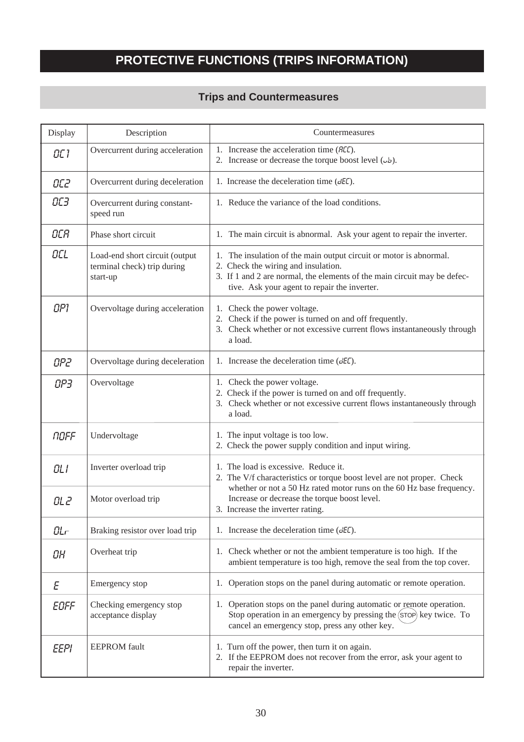# **PROTECTIVE FUNCTIONS (TRIPS INFORMATION)**

# **Trips and Countermeasures**

| Display     | Description                                                               | Countermeasures                                                                                                                                                                                                                       |
|-------------|---------------------------------------------------------------------------|---------------------------------------------------------------------------------------------------------------------------------------------------------------------------------------------------------------------------------------|
| OC 1        | Overcurrent during acceleration                                           | 1. Increase the acceleration time (REC).<br>2. Increase or decrease the torque boost level $(\omega b)$ .                                                                                                                             |
| OC2         | Overcurrent during deceleration                                           | 1. Increase the deceleration time $(dE)$ .                                                                                                                                                                                            |
| OC3         | Overcurrent during constant-<br>speed run                                 | 1. Reduce the variance of the load conditions.                                                                                                                                                                                        |
| OCR         | Phase short circuit                                                       | 1. The main circuit is abnormal. Ask your agent to repair the inverter.                                                                                                                                                               |
| OCL         | Load-end short circuit (output<br>terminal check) trip during<br>start-up | 1. The insulation of the main output circuit or motor is abnormal.<br>2. Check the wiring and insulation.<br>3. If 1 and 2 are normal, the elements of the main circuit may be defec-<br>tive. Ask your agent to repair the inverter. |
| OP1         | Overvoltage during acceleration                                           | 1. Check the power voltage.<br>2. Check if the power is turned on and off frequently.<br>3. Check whether or not excessive current flows instantaneously through<br>a load.                                                           |
| OP2         | Overvoltage during deceleration                                           | 1. Increase the deceleration time $(dE\mathcal{L})$ .                                                                                                                                                                                 |
| OP3         | Overvoltage                                                               | 1. Check the power voltage.<br>2. Check if the power is turned on and off frequently.<br>3. Check whether or not excessive current flows instantaneously through<br>a load.                                                           |
| NOFF        | Undervoltage                                                              | 1. The input voltage is too low.<br>2. Check the power supply condition and input wiring.                                                                                                                                             |
| OLI         | Inverter overload trip                                                    | 1. The load is excessive. Reduce it.<br>2. The V/f characteristics or torque boost level are not proper. Check                                                                                                                        |
| OL 2        | Motor overload trip                                                       | whether or not a 50 Hz rated motor runs on the 60 Hz base frequency.<br>Increase or decrease the torque boost level.<br>3. Increase the inverter rating.                                                                              |
| GLr         | Braking resistor over load trip                                           | 1. Increase the deceleration time $(dE)$ .                                                                                                                                                                                            |
| OH          | Overheat trip                                                             | 1. Check whether or not the ambient temperature is too high. If the<br>ambient temperature is too high, remove the seal from the top cover.                                                                                           |
| Ε           | Emergency stop                                                            | 1. Operation stops on the panel during automatic or remote operation.                                                                                                                                                                 |
| EOFF        | Checking emergency stop<br>acceptance display                             | 1. Operation stops on the panel during automatic or remote operation.<br>Stop operation in an emergency by pressing the (STOP) key twice. To<br>cancel an emergency stop, press any other key.                                        |
| <b>EEPI</b> | <b>EEPROM</b> fault                                                       | 1. Turn off the power, then turn it on again.<br>2. If the EEPROM does not recover from the error, ask your agent to<br>repair the inverter.                                                                                          |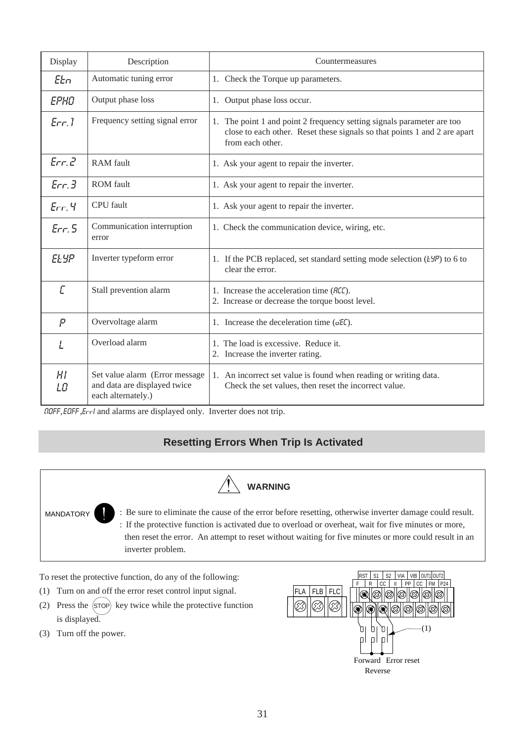| Display              | Description                                                                          | Countermeasures                                                                                                                                                         |
|----------------------|--------------------------------------------------------------------------------------|-------------------------------------------------------------------------------------------------------------------------------------------------------------------------|
| EEn                  | Automatic tuning error                                                               | 1. Check the Torque up parameters.                                                                                                                                      |
| EPHO                 | Output phase loss                                                                    | 1. Output phase loss occur.                                                                                                                                             |
| Err.1                | Frequency setting signal error                                                       | 1. The point 1 and point 2 frequency setting signals parameter are too<br>close to each other. Reset these signals so that points 1 and 2 are apart<br>from each other. |
| Err <sub>c</sub>     | RAM fault                                                                            | 1. Ask your agent to repair the inverter.                                                                                                                               |
| Err <sub>3</sub>     | <b>ROM</b> fault                                                                     | 1. Ask your agent to repair the inverter.                                                                                                                               |
| $Err.$ 4             | CPU fault                                                                            | 1. Ask your agent to repair the inverter.                                                                                                                               |
| Err.5                | Communication interruption<br>error                                                  | 1. Check the communication device, wiring, etc.                                                                                                                         |
| <b>ELYP</b>          | Inverter typeform error                                                              | 1. If the PCB replaced, set standard setting mode selection $(ESP)$ to 6 to<br>clear the error.                                                                         |
| Ē                    | Stall prevention alarm                                                               | 1. Increase the acceleration time (REC).<br>2. Increase or decrease the torque boost level.                                                                             |
| P                    | Overvoltage alarm                                                                    | 1. Increase the deceleration time $(dE\mathcal{L})$ .                                                                                                                   |
| L                    | Overload alarm                                                                       | 1. The load is excessive. Reduce it.<br>2. Increase the inverter rating.                                                                                                |
| H <sub>I</sub><br>LO | Set value alarm (Error message<br>and data are displayed twice<br>each alternately.) | 1. An incorrect set value is found when reading or writing data.<br>Check the set values, then reset the incorrect value.                                               |

OOFF, EOFF ,EFFI and alarms are displayed only. Inverter does not trip.

# **Resetting Errors When Trip Is Activated**



To reset the protective function, do any of the following:

- (1) Turn on and off the error reset control input signal.
- (2) Press the  $(s\bar{r}$  key twice while the protective function is displayed.
- (3) Turn off the power.

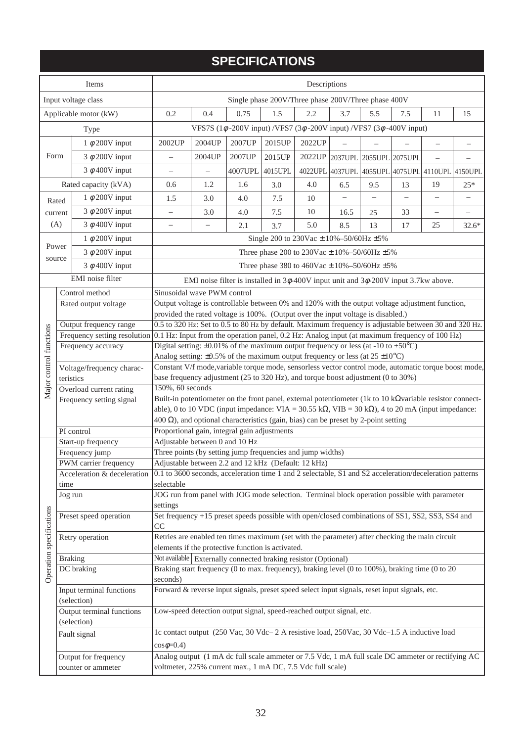# **SPECIFICATIONS**

|                          | <b>Items</b>                                                                                                                        | Descriptions                                                                                                                                                                                                                  |                                                                                              |                                                                                                |                                                      |        |                          |                          |                          |                                                 |                   |
|--------------------------|-------------------------------------------------------------------------------------------------------------------------------------|-------------------------------------------------------------------------------------------------------------------------------------------------------------------------------------------------------------------------------|----------------------------------------------------------------------------------------------|------------------------------------------------------------------------------------------------|------------------------------------------------------|--------|--------------------------|--------------------------|--------------------------|-------------------------------------------------|-------------------|
|                          | Input voltage class                                                                                                                 | Single phase 200V/Three phase 200V/Three phase 400V                                                                                                                                                                           |                                                                                              |                                                                                                |                                                      |        |                          |                          |                          |                                                 |                   |
| Applicable motor (kW)    |                                                                                                                                     | 0.2                                                                                                                                                                                                                           | 0.4                                                                                          | 0.75                                                                                           | 1.5                                                  | 2.2    | 3.7                      | 5.5                      | 7.5                      | 11                                              | 15                |
|                          | Type                                                                                                                                |                                                                                                                                                                                                                               |                                                                                              | VFS7S (1 $\phi$ -200V input) /VFS7 (3 $\phi$ -200V input) /VFS7 (3 $\phi$ -400V input)         |                                                      |        |                          |                          |                          |                                                 |                   |
|                          | 1 $\phi$ 200V input                                                                                                                 | 2002UP                                                                                                                                                                                                                        | 2004UP                                                                                       | 2007UP                                                                                         | 2015UP                                               | 2022UP |                          |                          |                          |                                                 |                   |
| Form                     | $3 \phi 200V$ input                                                                                                                 | $\equiv$                                                                                                                                                                                                                      | 2004UP                                                                                       | 2007UP                                                                                         | 2015UP                                               | 2022UP | 2037UPL 2055UPL 2075UPL  |                          |                          | $\overline{\phantom{0}}$                        | $\qquad \qquad -$ |
|                          | $3 \phi$ 400V input                                                                                                                 | $\overline{\phantom{0}}$                                                                                                                                                                                                      | $\overline{\phantom{0}}$                                                                     | 4007UPL                                                                                        | 4015UPL                                              |        |                          |                          |                          | 4022UPL 4037UPL 4055UPL 4075UPL 4110UPL 4150UPL |                   |
|                          | Rated capacity (kVA)                                                                                                                | 0.6                                                                                                                                                                                                                           | 1.2                                                                                          | 1.6                                                                                            | 3.0                                                  | 4.0    | 6.5                      | 9.5                      | 13                       | 19                                              | $25*$             |
|                          | 1 $\phi$ 200V input<br>Rated                                                                                                        | 1.5                                                                                                                                                                                                                           | 3.0                                                                                          | 4.0                                                                                            | 7.5                                                  | 10     | $\overline{\phantom{0}}$ | $\overline{\phantom{0}}$ | $\overline{\phantom{0}}$ | $\qquad \qquad -$                               | $\qquad \qquad -$ |
|                          | $3 \phi$ 200V input<br>current                                                                                                      | $\overline{\phantom{0}}$                                                                                                                                                                                                      | 3.0                                                                                          | 4.0                                                                                            | 7.5                                                  | 10     | 16.5                     | 25                       | 33                       | $\qquad \qquad -$                               |                   |
| (A)                      | $3 \phi$ 400V input                                                                                                                 | $\overline{\phantom{0}}$                                                                                                                                                                                                      | $\overline{\phantom{0}}$                                                                     | 2.1                                                                                            | 3.7                                                  | 5.0    | 8.5                      | 13                       | 17                       | 25                                              | $32.6*$           |
|                          | 1 $\phi$ 200V input                                                                                                                 |                                                                                                                                                                                                                               |                                                                                              |                                                                                                | Single 200 to 230Vac $\pm$ 10%-50/60Hz $\pm$ 5%      |        |                          |                          |                          |                                                 |                   |
|                          | Power                                                                                                                               |                                                                                                                                                                                                                               |                                                                                              |                                                                                                |                                                      |        |                          |                          |                          |                                                 |                   |
|                          | $3 \phi 200V$ input<br>source                                                                                                       |                                                                                                                                                                                                                               |                                                                                              |                                                                                                | Three phase 200 to 230Vac $\pm$ 10%-50/60Hz $\pm$ 5% |        |                          |                          |                          |                                                 |                   |
|                          | $3 \phi$ 400V input                                                                                                                 |                                                                                                                                                                                                                               |                                                                                              |                                                                                                | Three phase 380 to 460Vac $\pm$ 10%-50/60Hz $\pm$ 5% |        |                          |                          |                          |                                                 |                   |
|                          | EMI noise filter                                                                                                                    |                                                                                                                                                                                                                               |                                                                                              | EMI noise filter is installed in $3\phi$ -400V input unit and $3\phi$ -200V input 3.7kw above. |                                                      |        |                          |                          |                          |                                                 |                   |
|                          | Control method                                                                                                                      | Sinusoidal wave PWM control                                                                                                                                                                                                   |                                                                                              |                                                                                                |                                                      |        |                          |                          |                          |                                                 |                   |
|                          | Rated output voltage                                                                                                                | Output voltage is controllable between 0% and 120% with the output voltage adjustment function,                                                                                                                               |                                                                                              |                                                                                                |                                                      |        |                          |                          |                          |                                                 |                   |
|                          | Output frequency range                                                                                                              | provided the rated voltage is 100%. (Output over the input voltage is disabled.)<br>0.5 to 320 Hz: Set to 0.5 to 80 Hz by default. Maximum frequency is adjustable between 30 and 320 Hz.                                     |                                                                                              |                                                                                                |                                                      |        |                          |                          |                          |                                                 |                   |
|                          |                                                                                                                                     |                                                                                                                                                                                                                               |                                                                                              |                                                                                                |                                                      |        |                          |                          |                          |                                                 |                   |
|                          | Frequency accuracy                                                                                                                  | Frequency setting resolution 0.1 Hz: Input from the operation panel, 0.2 Hz: Analog input (at maximum frequency of 100 Hz)<br>Digital setting: $\pm 0.01\%$ of the maximum output frequency or less (at -10 to +50°C)         |                                                                                              |                                                                                                |                                                      |        |                          |                          |                          |                                                 |                   |
|                          |                                                                                                                                     | Analog setting: $\pm 0.5\%$ of the maximum output frequency or less (at 25 $\pm 10^{\circ}$ C)                                                                                                                                |                                                                                              |                                                                                                |                                                      |        |                          |                          |                          |                                                 |                   |
| Major control functions  | Voltage/frequency charac-                                                                                                           | Constant V/f mode, variable torque mode, sensorless vector control mode, automatic torque boost mode,                                                                                                                         |                                                                                              |                                                                                                |                                                      |        |                          |                          |                          |                                                 |                   |
|                          | teristics                                                                                                                           | base frequency adjustment (25 to 320 Hz), and torque boost adjustment (0 to 30%)                                                                                                                                              |                                                                                              |                                                                                                |                                                      |        |                          |                          |                          |                                                 |                   |
|                          | Overload current rating                                                                                                             | 150%, 60 seconds                                                                                                                                                                                                              |                                                                                              |                                                                                                |                                                      |        |                          |                          |                          |                                                 |                   |
|                          | Frequency setting signal                                                                                                            | Built-in potentiometer on the front panel, external potentiometer (1k to 10 k $\Omega$ variable resistor connect-                                                                                                             |                                                                                              |                                                                                                |                                                      |        |                          |                          |                          |                                                 |                   |
|                          |                                                                                                                                     | able), 0 to 10 VDC (input impedance: VIA = $30.55 \text{ k}\Omega$ , VIB = $30 \text{ k}\Omega$ ), 4 to 20 mA (input impedance:<br>$400 \Omega$ ), and optional characteristics (gain, bias) can be preset by 2-point setting |                                                                                              |                                                                                                |                                                      |        |                          |                          |                          |                                                 |                   |
|                          | PI control                                                                                                                          | Proportional gain, integral gain adjustments                                                                                                                                                                                  |                                                                                              |                                                                                                |                                                      |        |                          |                          |                          |                                                 |                   |
|                          | Start-up frequency                                                                                                                  | Adjustable between 0 and 10 Hz                                                                                                                                                                                                |                                                                                              |                                                                                                |                                                      |        |                          |                          |                          |                                                 |                   |
|                          | Frequency jump                                                                                                                      | Three points (by setting jump frequencies and jump widths)                                                                                                                                                                    |                                                                                              |                                                                                                |                                                      |        |                          |                          |                          |                                                 |                   |
|                          | PWM carrier frequency                                                                                                               | Adjustable between 2.2 and 12 kHz (Default: 12 kHz)                                                                                                                                                                           |                                                                                              |                                                                                                |                                                      |        |                          |                          |                          |                                                 |                   |
|                          | Acceleration & deceleration 0.1 to 3600 seconds, acceleration time 1 and 2 selectable, S1 and S2 acceleration/deceleration patterns |                                                                                                                                                                                                                               |                                                                                              |                                                                                                |                                                      |        |                          |                          |                          |                                                 |                   |
|                          | time<br>Jog run                                                                                                                     | selectable                                                                                                                                                                                                                    |                                                                                              |                                                                                                |                                                      |        |                          |                          |                          |                                                 |                   |
|                          |                                                                                                                                     | settings                                                                                                                                                                                                                      | JOG run from panel with JOG mode selection. Terminal block operation possible with parameter |                                                                                                |                                                      |        |                          |                          |                          |                                                 |                   |
|                          | Preset speed operation                                                                                                              | Set frequency +15 preset speeds possible with open/closed combinations of SS1, SS2, SS3, SS4 and                                                                                                                              |                                                                                              |                                                                                                |                                                      |        |                          |                          |                          |                                                 |                   |
|                          |                                                                                                                                     | CC.                                                                                                                                                                                                                           |                                                                                              |                                                                                                |                                                      |        |                          |                          |                          |                                                 |                   |
|                          | Retry operation                                                                                                                     | Retries are enabled ten times maximum (set with the parameter) after checking the main circuit                                                                                                                                |                                                                                              |                                                                                                |                                                      |        |                          |                          |                          |                                                 |                   |
|                          |                                                                                                                                     | elements if the protective function is activated.                                                                                                                                                                             |                                                                                              |                                                                                                |                                                      |        |                          |                          |                          |                                                 |                   |
|                          | <b>Braking</b><br>DC braking                                                                                                        | Not available Externally connected braking resistor (Optional)<br>Braking start frequency (0 to max. frequency), braking level (0 to 100%), braking time (0 to 20                                                             |                                                                                              |                                                                                                |                                                      |        |                          |                          |                          |                                                 |                   |
| Operation specifications |                                                                                                                                     | seconds)                                                                                                                                                                                                                      |                                                                                              |                                                                                                |                                                      |        |                          |                          |                          |                                                 |                   |
|                          | Input terminal functions<br>(selection)                                                                                             | Forward & reverse input signals, preset speed select input signals, reset input signals, etc.                                                                                                                                 |                                                                                              |                                                                                                |                                                      |        |                          |                          |                          |                                                 |                   |
|                          | Output terminal functions<br>(selection)                                                                                            | Low-speed detection output signal, speed-reached output signal, etc.                                                                                                                                                          |                                                                                              |                                                                                                |                                                      |        |                          |                          |                          |                                                 |                   |
|                          | Fault signal                                                                                                                        | 1c contact output (250 Vac, 30 Vdc-2 A resistive load, 250 Vac, 30 Vdc-1.5 A inductive load<br>$cos\phi=0.4$ )                                                                                                                |                                                                                              |                                                                                                |                                                      |        |                          |                          |                          |                                                 |                   |
|                          | Output for frequency                                                                                                                | Analog output (1 mA dc full scale ammeter or 7.5 Vdc, 1 mA full scale DC ammeter or rectifying AC                                                                                                                             |                                                                                              |                                                                                                |                                                      |        |                          |                          |                          |                                                 |                   |
|                          | counter or ammeter                                                                                                                  | voltmeter, 225% current max., 1 mA DC, 7.5 Vdc full scale)                                                                                                                                                                    |                                                                                              |                                                                                                |                                                      |        |                          |                          |                          |                                                 |                   |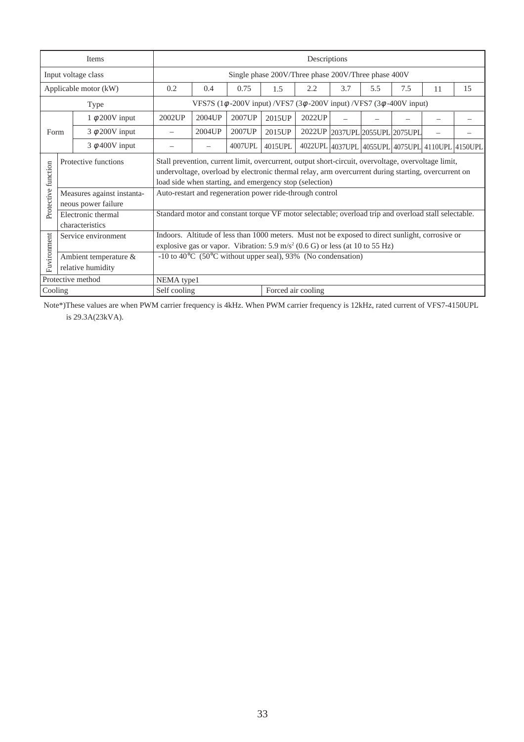| Items                 |                                                   |                                                                                                      | Descriptions                                                                                                                                                                                                                                                          |         |         |                                                                                        |                         |     |     |    |                                                 |
|-----------------------|---------------------------------------------------|------------------------------------------------------------------------------------------------------|-----------------------------------------------------------------------------------------------------------------------------------------------------------------------------------------------------------------------------------------------------------------------|---------|---------|----------------------------------------------------------------------------------------|-------------------------|-----|-----|----|-------------------------------------------------|
| Input voltage class   |                                                   |                                                                                                      | Single phase 200V/Three phase 200V/Three phase 400V                                                                                                                                                                                                                   |         |         |                                                                                        |                         |     |     |    |                                                 |
| Applicable motor (kW) |                                                   | 0.2                                                                                                  | 0.4                                                                                                                                                                                                                                                                   | 0.75    | 1.5     | 2.2                                                                                    | 3.7                     | 5.5 | 7.5 | 11 | 15                                              |
|                       | Type                                              |                                                                                                      |                                                                                                                                                                                                                                                                       |         |         | VFS7S (1 $\phi$ -200V input) /VFS7 (3 $\phi$ -200V input) /VFS7 (3 $\phi$ -400V input) |                         |     |     |    |                                                 |
| 1 $\phi$ 200V input   |                                                   | 2002UP                                                                                               | 2004UP                                                                                                                                                                                                                                                                | 2007UP  | 2015UP  | 2022UP                                                                                 |                         |     |     |    |                                                 |
| Form                  | $3 \phi$ 200V input                               |                                                                                                      | 2004UP                                                                                                                                                                                                                                                                | 2007UP  | 2015UP  | 2022UP                                                                                 | 2037UPL 2055UPL 2075UPL |     |     |    |                                                 |
|                       | $3 \phi$ 400V input                               |                                                                                                      |                                                                                                                                                                                                                                                                       | 4007UPL | 4015UPL |                                                                                        |                         |     |     |    | 4022UPL 4037UPL 4055UPL 4075UPL 4110UPL 4150UPL |
| Protective function   | Protective functions                              |                                                                                                      | Stall prevention, current limit, overcurrent, output short-circuit, overvoltage, overvoltage limit,<br>undervoltage, overload by electronic thermal relay, arm overcurrent during starting, overcurrent on<br>load side when starting, and emergency stop (selection) |         |         |                                                                                        |                         |     |     |    |                                                 |
|                       | Measures against instanta-<br>neous power failure |                                                                                                      | Auto-restart and regeneration power ride-through control                                                                                                                                                                                                              |         |         |                                                                                        |                         |     |     |    |                                                 |
|                       | Electronic thermal<br>characteristics             | Standard motor and constant torque VF motor selectable; overload trip and overload stall selectable. |                                                                                                                                                                                                                                                                       |         |         |                                                                                        |                         |     |     |    |                                                 |
| Service environment   |                                                   |                                                                                                      | Indoors. Altitude of less than 1000 meters. Must not be exposed to direct sunlight, corrosive or<br>explosive gas or vapor. Vibration: 5.9 m/s <sup>2</sup> (0.6 G) or less (at 10 to 55 Hz)                                                                          |         |         |                                                                                        |                         |     |     |    |                                                 |
| Fuvironment           | Ambient temperature &<br>relative humidity        |                                                                                                      | $-10$ to 40 <sup>o</sup> C (50 <sup>o</sup> C without upper seal), 93% (No condensation)                                                                                                                                                                              |         |         |                                                                                        |                         |     |     |    |                                                 |
| Protective method     |                                                   |                                                                                                      | NEMA type1                                                                                                                                                                                                                                                            |         |         |                                                                                        |                         |     |     |    |                                                 |
| Cooling               |                                                   |                                                                                                      | Self cooling<br>Forced air cooling                                                                                                                                                                                                                                    |         |         |                                                                                        |                         |     |     |    |                                                 |

Note\*)These values are when PWM carrier frequency is 4kHz. When PWM carrier frequency is 12kHz, rated current of VFS7-4150UPL is 29.3A(23kVA).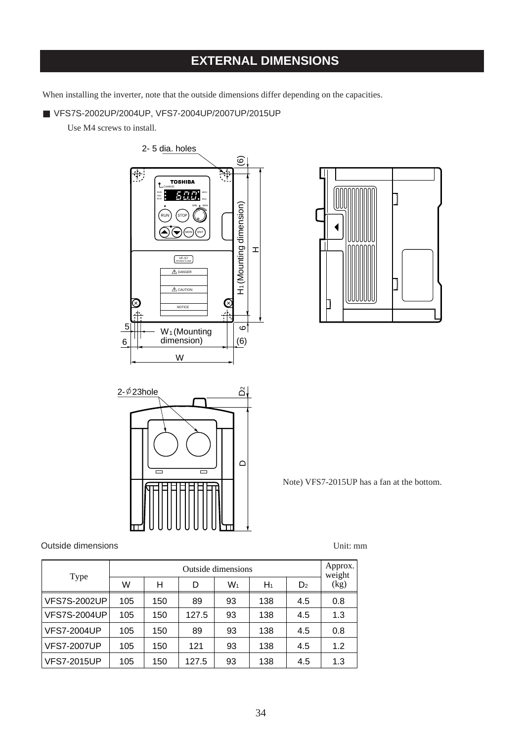# **EXTERNAL DIMENSIONS**

When installing the inverter, note that the outside dimensions differ depending on the capacities.

■ VFS7S-2002UP/2004UP, VFS7-2004UP/2007UP/2015UP

Use M4 screws to install.







Note) VFS7-2015UP has a fan at the bottom.

#### Outside dimensions and the Unit: mm

| Type                | Outside dimensions |     |       |    |       |                |                |
|---------------------|--------------------|-----|-------|----|-------|----------------|----------------|
|                     | W                  | н   | D     | W1 | $H_1$ | D <sub>2</sub> | weight<br>(kg) |
| <b>VFS7S-2002UP</b> | 105                | 150 | 89    | 93 | 138   | 4.5            | 0.8            |
| <b>VFS7S-2004UP</b> | 105                | 150 | 127.5 | 93 | 138   | 4.5            | 1.3            |
| <b>VFS7-2004UP</b>  | 105                | 150 | 89    | 93 | 138   | 4.5            | 0.8            |
| <b>VFS7-2007UP</b>  | 105                | 150 | 121   | 93 | 138   | 4.5            | 1.2            |
| <b>VFS7-2015UP</b>  | 105                | 150 | 127.5 | 93 | 138   | 4.5            | 1.3            |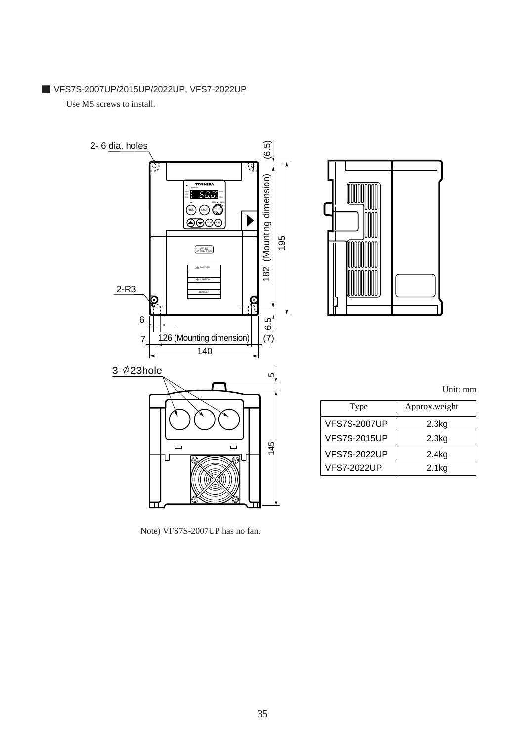■ VFS7S-2007UP/2015UP/2022UP, VFS7-2022UP

Use M5 screws to install.





Unit: mm

| Type                | Approx.weight |
|---------------------|---------------|
| <b>VFS7S-2007UP</b> | 2.3kg         |
| <b>VFS7S-2015UP</b> | 2.3kg         |
| <b>VFS7S-2022UP</b> | 2.4kg         |
| <b>VFS7-2022UP</b>  | $2.1$ kg      |

Note) VFS7S-2007UP has no fan.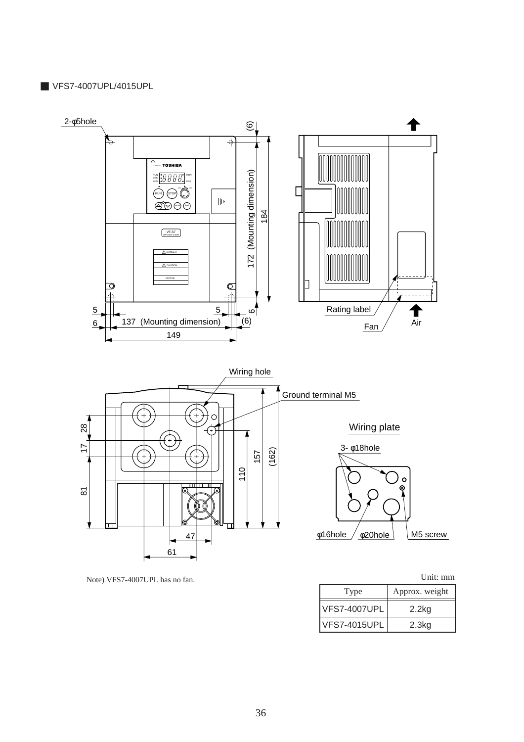#### ■ VFS7-4007UPL/4015UPL



Note) VFS7-4007UPL has no fan. Unit: mm

| Type                | Approx. weight |
|---------------------|----------------|
| <b>VFS7-4007UPL</b> | $2.2$ kg       |
| <b>VFS7-4015UPL</b> | 2.3kg          |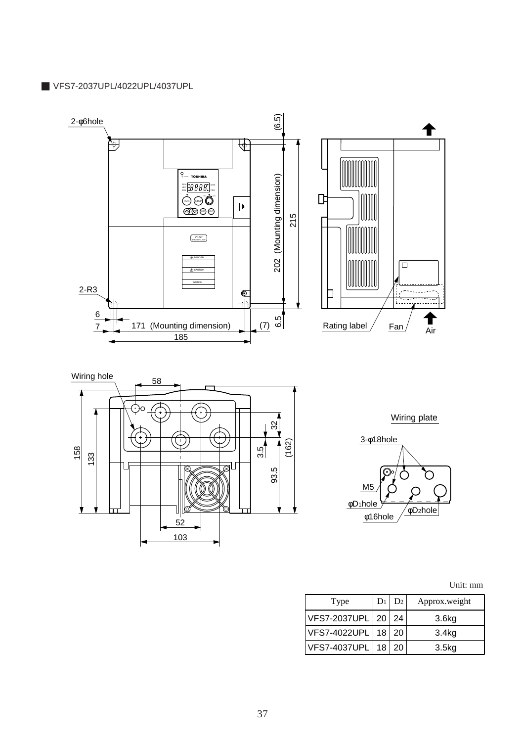■ VFS7-2037UPL/4022UPL/4037UPL



Unit: mm

| Type                   | D <sub>2</sub> | Approx.weight     |
|------------------------|----------------|-------------------|
| VFS7-2037UPL   20      | 24             | 3.6 <sub>kg</sub> |
| VFS7-4022UPL   18   20 |                | 3.4 <sub>kg</sub> |
| VFS7-4037UPL   18      | 20             | 3.5kg             |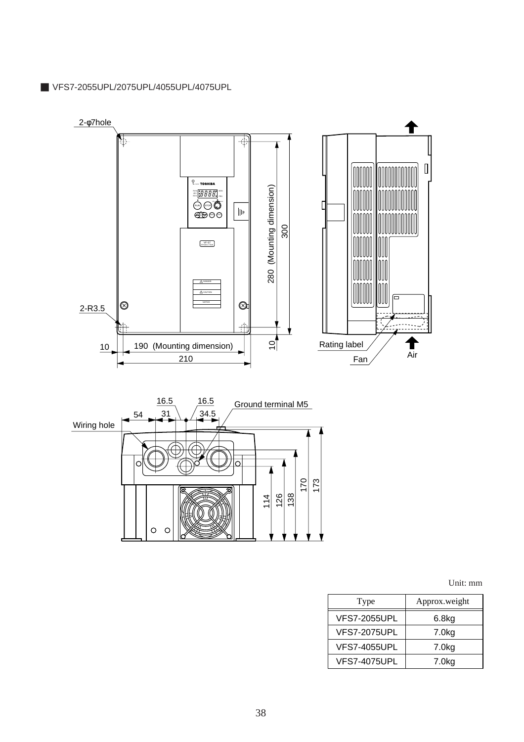■ VFS7-2055UPL/2075UPL/4055UPL/4075UPL



Unit: mm

| Type                | Approx.weight     |
|---------------------|-------------------|
| <b>VFS7-2055UPL</b> | 6.8kg             |
| <b>VFS7-2075UPL</b> | 7.0kg             |
| <b>VFS7-4055UPL</b> | 7.0 <sub>kg</sub> |
| <b>VFS7-4075UPL</b> | 7.0 <sub>kg</sub> |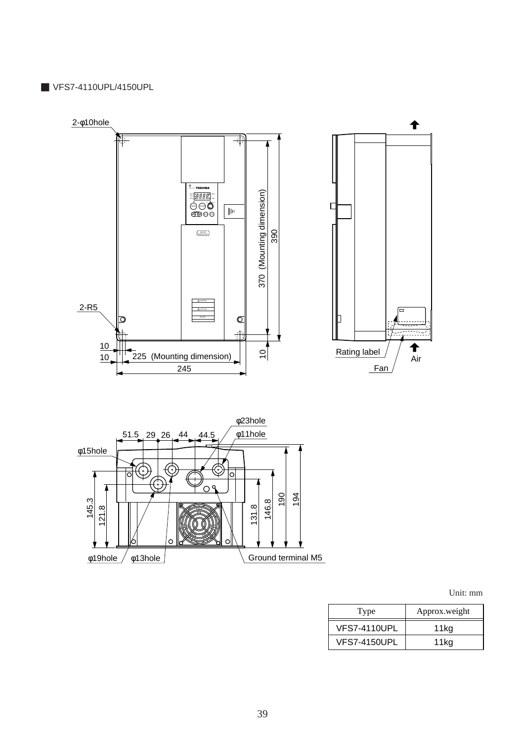#### ■ VFS7-4110UPL/4150UPL



Unit: mm

| Type                | Approx.weight |
|---------------------|---------------|
| <b>VFS7-4110UPL</b> | 11kg          |
| VFS7-4150UPL        | 11kg          |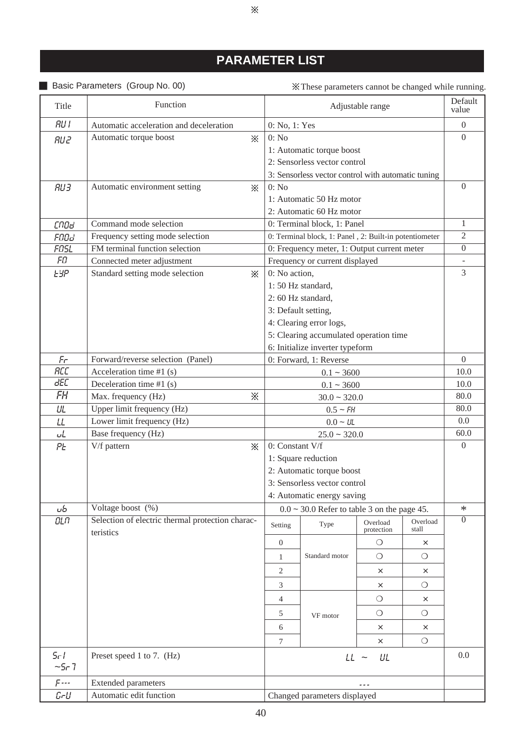# **PARAMETER LIST**

 $\times$ 

### ■ Basic Parameters (Group No. 00)

These parameters cannot be changed while running.

| Title               | Function                                                 |                                           |                                                        | Adjustable range       |                   | Default<br>value |
|---------------------|----------------------------------------------------------|-------------------------------------------|--------------------------------------------------------|------------------------|-------------------|------------------|
| <b>RU I</b>         | Automatic acceleration and deceleration                  | 0: No, 1: Yes                             |                                                        |                        |                   | $\overline{0}$   |
| <b>RU2</b>          | Automatic torque boost<br>$\times$                       | 0: No                                     |                                                        |                        |                   | $\Omega$         |
|                     |                                                          |                                           | 1: Automatic torque boost                              |                        |                   |                  |
|                     |                                                          |                                           | 2: Sensorless vector control                           |                        |                   |                  |
|                     |                                                          |                                           | 3: Sensorless vector control with automatic tuning     |                        |                   |                  |
| RU3                 | Automatic environment setting<br>$\ddot{\times}$         | 0: No                                     |                                                        |                        |                   | $\boldsymbol{0}$ |
|                     |                                                          |                                           | 1: Automatic 50 Hz motor                               |                        |                   |                  |
|                     |                                                          |                                           | 2: Automatic 60 Hz motor                               |                        |                   |                  |
| cnoa                | Command mode selection                                   |                                           | 0: Terminal block, 1: Panel                            |                        |                   | $\mathbf{1}$     |
| FNOd                | Frequency setting mode selection                         |                                           | 0: Terminal block, 1: Panel, 2: Built-in potentiometer |                        |                   | $\overline{2}$   |
| FOSL                | FM terminal function selection                           |                                           | 0: Frequency meter, 1: Output current meter            |                        |                   | $\overline{0}$   |
| FП                  | Connected meter adjustment                               |                                           | Frequency or current displayed                         |                        |                   |                  |
| <b>ESP</b>          | Standard setting mode selection<br>፠                     | 0: No action,                             |                                                        |                        |                   | 3                |
|                     |                                                          |                                           | 1:50 Hz standard,                                      |                        |                   |                  |
|                     |                                                          |                                           | 2:60 Hz standard,                                      |                        |                   |                  |
|                     |                                                          |                                           | 3: Default setting,                                    |                        |                   |                  |
|                     |                                                          |                                           | 4: Clearing error logs,                                |                        |                   |                  |
|                     |                                                          |                                           | 5: Clearing accumulated operation time                 |                        |                   |                  |
|                     |                                                          |                                           | 6: Initialize inverter typeform                        |                        |                   |                  |
| Fr                  | Forward/reverse selection (Panel)                        | 0: Forward, 1: Reverse                    |                                                        |                        |                   | $\Omega$         |
| <b>RCC</b><br>dEC   | Acceleration time #1 (s)                                 | $0.1 - 3600$                              |                                                        |                        | 10.0              |                  |
| FH                  | Deceleration time $#1(s)$<br>⋇                           | $0.1 - 3600$                              |                                                        |                        | 10.0<br>80.0      |                  |
|                     | Max. frequency (Hz)                                      | $30.0 - 320.0$                            |                                                        |                        | 80.0              |                  |
| UL                  | Upper limit frequency (Hz)<br>Lower limit frequency (Hz) | $0.5 \sim FH$                             |                                                        |                        | 0.0               |                  |
| LL                  | Base frequency (Hz)                                      | $0.0 \sim \text{UL}$<br>$25.0 \sim 320.0$ |                                                        |                        | 60.0              |                  |
| یاں<br>ΡĿ           | V/f pattern<br>⋇                                         | 0: Constant V/f                           |                                                        |                        | $\Omega$          |                  |
|                     |                                                          |                                           | 1: Square reduction                                    |                        |                   |                  |
|                     |                                                          |                                           | 2: Automatic torque boost                              |                        |                   |                  |
|                     |                                                          |                                           | 3: Sensorless vector control                           |                        |                   |                  |
|                     |                                                          |                                           | 4: Automatic energy saving                             |                        |                   |                  |
| uЬ                  | Voltage boost (%)                                        |                                           | $0.0 \sim 30.0$ Refer to table 3 on the page 45.       |                        |                   | $\ast$           |
| OLA                 | Selection of electric thermal protection charac-         | Setting                                   | Type                                                   | Overload<br>protection | Overload<br>stall | $\overline{0}$   |
|                     | teristics                                                | $\boldsymbol{0}$                          |                                                        | $\circ$                | $\times$          |                  |
|                     |                                                          | 1                                         | Standard motor                                         | $\circ$                | $\circ$           |                  |
|                     |                                                          |                                           |                                                        |                        |                   |                  |
|                     |                                                          | 2                                         |                                                        | $\times$               | $\times$          |                  |
|                     |                                                          | 3                                         |                                                        | $\times$               | $\circ$           |                  |
|                     |                                                          | 4                                         |                                                        | $\circ$                | $\times$          |                  |
|                     |                                                          | 5                                         | VF motor                                               | $\circ$                | $\circ$           |                  |
|                     |                                                          | 6                                         |                                                        | $\times$               | ×                 |                  |
|                     |                                                          | $\tau$                                    |                                                        | $\times$               | $\circ$           |                  |
| $5 - 1$<br>$-5 - 7$ | Preset speed 1 to 7. (Hz)                                | $LL$ ~<br>UL                              |                                                        |                        |                   | 0.0              |
| $F$ ---             | <b>Extended parameters</b>                               |                                           |                                                        |                        |                   |                  |
| $L - U$             | Automatic edit function                                  | Changed parameters displayed              |                                                        |                        |                   |                  |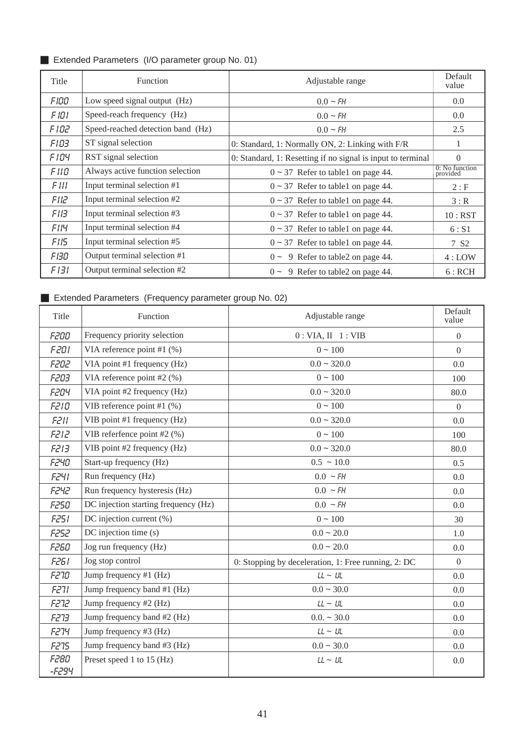### ■ Extended Parameters (I/O parameter group No. 01)

| Title       | Function                          | Adjustable range                                            | Default<br>value           |
|-------------|-----------------------------------|-------------------------------------------------------------|----------------------------|
| FIOO        | Low speed signal output (Hz)      | $0.0 - FH$                                                  | 0.0                        |
| F IOI.      | Speed-reach frequency (Hz)        | $0.0 - FH$                                                  | 0.0                        |
| <b>FID2</b> | Speed-reached detection band (Hz) | $0.0 - FH$                                                  | 2.5                        |
| FIO3.       | ST signal selection               | 0: Standard, 1: Normally ON, 2: Linking with F/R            |                            |
| FIO4        | RST signal selection              | 0: Standard, 1: Resetting if no signal is input to terminal | $\Omega$                   |
| F II O      | Always active function selection  | $0 \sim 37$ Refer to table 1 on page 44.                    | 0: No function<br>provided |
| F III.      | Input terminal selection #1       | $0 \sim 37$ Refer to table 1 on page 44.                    | 2: F                       |
| FIIZ        | Input terminal selection #2       | $0 \sim 37$ Refer to table 1 on page 44.                    | 3:R                        |
| FIB         | Input terminal selection #3       | $0 \sim 37$ Refer to table 1 on page 44.                    | 10: RST                    |
| <b>FIIY</b> | Input terminal selection #4       | $0 \sim 37$ Refer to table 1 on page 44.                    | 6: S1                      |
| FII5        | Input terminal selection #5       | $0 \sim 37$ Refer to table 1 on page 44.                    | 7 S <sub>2</sub>           |
| FBO         | Output terminal selection #1      | $0 \sim 9$ Refer to table 2 on page 44.                     | 4:LOW                      |
| F 131       | Output terminal selection #2      | $0 \sim 9$ Refer to table 2 on page 44.                     | 6:RCH                      |

# ■ Extended Parameters (Frequency parameter group No. 02)

| Title                | Function                             | Adjustable range                                    | Default<br>value |
|----------------------|--------------------------------------|-----------------------------------------------------|------------------|
| <b>F200</b>          | Frequency priority selection         | 0: VIA, II 1: VIB                                   | $\overline{0}$   |
| <b>F201</b>          | VIA reference point #1 $(\%)$        | $0 - 100$                                           | $\theta$         |
| <b>F202</b>          | VIA point #1 frequency (Hz)          | $0.0 - 320.0$                                       | 0.0              |
| F203                 | VIA reference point #2 (%)           | $0 \sim 100$                                        | 100              |
| <b>F204</b>          | VIA point #2 frequency (Hz)          | $0.0 - 320.0$                                       | 80.0             |
| <b>F210</b>          | VIB reference point #1 $(\%)$        | $0 - 100$                                           | $\overline{0}$   |
| F211                 | VIB point #1 frequency (Hz)          | $0.0 - 320.0$                                       | 0.0              |
| F212                 | VIB referfence point #2 (%)          | $0 - 100$                                           | 100              |
| <b>F213</b>          | VIB point #2 frequency (Hz)          | $0.0 - 320.0$                                       | 80.0             |
| <b>F240</b>          | Start-up frequency (Hz)              | $0.5 \sim 10.0$                                     | 0.5              |
| FZYI                 | Run frequency (Hz)                   | $0.0 \sim FH$                                       | 0.0              |
| <b>F242</b>          | Run frequency hysteresis (Hz)        | $0.0 \sim FH$                                       | 0.0              |
| <b>F250</b>          | DC injection starting frequency (Hz) | $0.0 \sim FH$                                       | 0.0              |
| F251                 | DC injection current (%)             | $0 - 100$                                           | 30               |
| F252                 | DC injection time (s)                | $0.0 - 20.0$                                        | 1.0              |
| <b>F260</b>          | Jog run frequency (Hz)               | $0.0 - 20.0$                                        | 0.0              |
| <b>F261</b>          | Jog stop control                     | 0: Stopping by deceleration, 1: Free running, 2: DC | $\overline{0}$   |
| <b>F270</b>          | Jump frequency #1 (Hz)               | $LL \sim UL$                                        | 0.0              |
| F27I                 | Jump frequency band #1 (Hz)          | $0.0 - 30.0$                                        | 0.0              |
| <b>F272</b>          | Jump frequency #2 (Hz)               | $LL \sim UL$                                        | 0.0              |
| F273                 | Jump frequency band #2 (Hz)          | $0.0. \sim 30.0$                                    | 0.0              |
| <b>F274</b>          | Jump frequency #3 (Hz)               | $LL \sim UL$                                        | 0.0              |
| <b>F275</b>          | Jump frequency band #3 (Hz)          | $0.0 - 30.0$                                        | 0.0              |
| <b>F280</b><br>-F294 | Preset speed 1 to 15 (Hz)            | $LL \sim UL$                                        | 0.0              |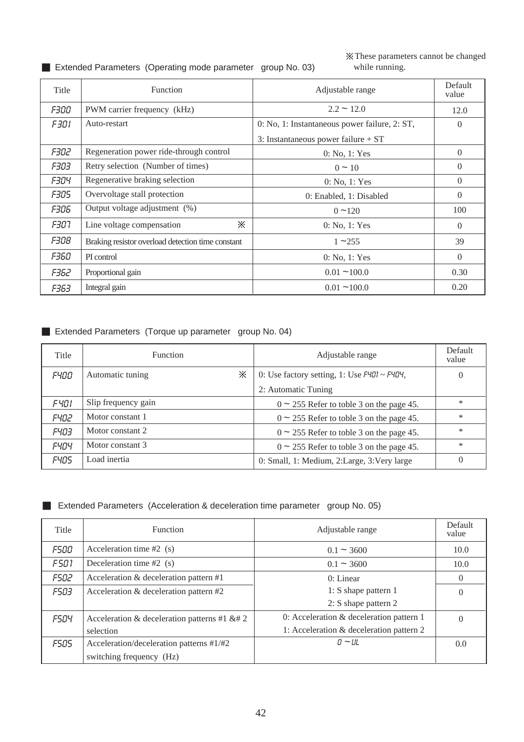### ■ Extended Parameters (Operating mode parameter group No. 03)

These parameters cannot be changed while running.

| Title       | <b>Function</b>                                   | Adjustable range                              | Default<br>value |
|-------------|---------------------------------------------------|-----------------------------------------------|------------------|
| F300        | PWM carrier frequency (kHz)                       | $2.2 \sim 12.0$                               | 12.0             |
| F301        | Auto-restart                                      | 0: No, 1: Instantaneous power failure, 2: ST, | $\Omega$         |
|             |                                                   | 3: Instantaneous power failure $+ ST$         |                  |
| <i>F302</i> | Regeneration power ride-through control           | 0: No, 1: Yes                                 | $\overline{0}$   |
| <i>F303</i> | Retry selection (Number of times)                 | $0 \sim 10$                                   | $\Omega$         |
| F304        | Regenerative braking selection                    | 0: No, 1: Yes                                 | $\overline{0}$   |
| <i>F305</i> | Overvoltage stall protection                      | 0: Enabled, 1: Disabled                       | $\Omega$         |
| <i>F306</i> | Output voltage adjustment (%)                     | $0 - 120$                                     | 100              |
| F307.       | ፠<br>Line voltage compensation                    | 0: No, 1: Yes                                 | $\overline{0}$   |
| F308        | Braking resistor overload detection time constant | $1 - 255$                                     | 39               |
| <i>F360</i> | PI control                                        | 0: No, 1: Yes                                 | $\Omega$         |
| F362        | Proportional gain                                 | $0.01 - 100.0$                                | 0.30             |
| F363.       | Integral gain                                     | $0.01 - 100.0$                                | 0.20             |

### ■ Extended Parameters (Torque up parameter group No. 04)

| Title       | <b>Function</b>       | Adjustable range                                  | Default<br>value |
|-------------|-----------------------|---------------------------------------------------|------------------|
| F400        | ⋇<br>Automatic tuning | 0: Use factory setting, 1: Use $F401 \sim F404$ , | $\theta$         |
|             |                       | 2: Automatic Tuning                               |                  |
| F401        | Slip frequency gain   | $0 \sim 255$ Refer to toble 3 on the page 45.     | $\ast$           |
| F402        | Motor constant 1      | $0 \sim 255$ Refer to toble 3 on the page 45.     | ∗                |
| <b>F403</b> | Motor constant 2      | $0 \sim 255$ Refer to toble 3 on the page 45.     | $\ast$           |
| <b>FYOY</b> | Motor constant 3      | $0 \sim 255$ Refer to toble 3 on the page 45.     | $\ast$           |
| <b>F405</b> | Load inertia          | 0: Small, 1: Medium, 2: Large, 3: Very large      | $\theta$         |

### ■ Extended Parameters (Acceleration & deceleration time parameter group No. 05)

| Title       | <b>Function</b>                                                                                                                                                                                                                                                                                                                                                                                                                                 | Adjustable range     | Default<br>value |
|-------------|-------------------------------------------------------------------------------------------------------------------------------------------------------------------------------------------------------------------------------------------------------------------------------------------------------------------------------------------------------------------------------------------------------------------------------------------------|----------------------|------------------|
| <i>FSOO</i> | Acceleration time $#2$ (s)                                                                                                                                                                                                                                                                                                                                                                                                                      | $0.1 - 3600$         | 10.0             |
| <b>F501</b> | Deceleration time $#2$ (s)                                                                                                                                                                                                                                                                                                                                                                                                                      | $0.1 - 3600$         | 10.0             |
| <i>FS02</i> | Acceleration & deceleration pattern #1                                                                                                                                                                                                                                                                                                                                                                                                          | 0: Linear            | $\Omega$         |
| <i>F503</i> | Acceleration & deceleration pattern #2                                                                                                                                                                                                                                                                                                                                                                                                          | 1: S shape pattern 1 | $\theta$         |
|             |                                                                                                                                                                                                                                                                                                                                                                                                                                                 | 2: S shape pattern 2 |                  |
| <b>FSO4</b> | Acceleration & deceleration patterns #1 &# 2</td><td>0: Acceleration & deceleration pattern 1</td><td><math>\Omega</math></td></tr><tr><td></td><td>selection</td><td>1: Acceleration & deceleration pattern 2</td><td></td></tr><tr><td><b>FSOS</b></td><td>Acceleration/deceleration patterns #1/#2</td><td><math>0 \sim UL</math></td><td>0.0</td></tr><tr><td></td><td>switching frequency (Hz)</td><td></td><td></td></tr></tbody></table> |                      |                  |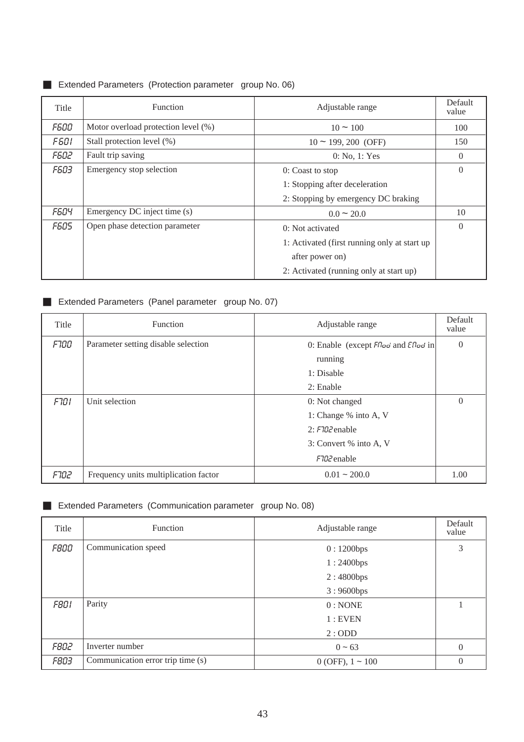### ■ Extended Parameters (Protection parameter group No. 06)

| Title       | Function                            | Adjustable range                              | Default<br>value |
|-------------|-------------------------------------|-----------------------------------------------|------------------|
| <i>F600</i> | Motor overload protection level (%) | $10 \approx 100$                              | 100              |
| <i>F601</i> | Stall protection level (%)          | $10 \sim 199, 200$ (OFF)                      | 150              |
| <b>F602</b> | Fault trip saving                   | 0: No, 1: Yes                                 | $\overline{0}$   |
| <i>F603</i> | Emergency stop selection            | 0: Coast to stop                              | $\Omega$         |
|             |                                     | 1: Stopping after deceleration                |                  |
|             |                                     | 2: Stopping by emergency DC braking           |                  |
| <b>F604</b> | Emergency DC inject time (s)        | $0.0 \sim 20.0$                               | 10               |
| <b>F605</b> | Open phase detection parameter      | 0: Not activated                              | $\Omega$         |
|             |                                     | 1: Activated (first running only at start up) |                  |
|             |                                     | after power on)                               |                  |
|             |                                     | 2: Activated (running only at start up)       |                  |

### ■ Extended Parameters (Panel parameter group No. 07)

| Title       | Function                              | Adjustable range                                       | Default<br>value |
|-------------|---------------------------------------|--------------------------------------------------------|------------------|
| <b>F100</b> | Parameter setting disable selection   | 0: Enable (except $F$ <i>loo</i> and $C$ <i>loo</i> in | $\theta$         |
|             |                                       | running                                                |                  |
|             |                                       | 1: Disable                                             |                  |
|             |                                       | 2: Enable                                              |                  |
| F101        | Unit selection                        | 0: Not changed                                         | $\overline{0}$   |
|             |                                       | 1: Change % into A, V                                  |                  |
|             |                                       | $2: F102$ enable                                       |                  |
|             |                                       | 3: Convert % into A, V                                 |                  |
|             |                                       | F702 enable                                            |                  |
| <b>F102</b> | Frequency units multiplication factor | $0.01 - 200.0$                                         | 1.00             |

### ■ Extended Parameters (Communication parameter group No. 08)

| Title       | <b>Function</b>                   | Adjustable range        | Default<br>value |
|-------------|-----------------------------------|-------------------------|------------------|
| <i>F800</i> | Communication speed               | 0:1200bps               | 3                |
|             |                                   | 1:2400bps               |                  |
|             |                                   | 2:4800bps               |                  |
|             |                                   | 3:9600bps               |                  |
| <b>F801</b> | Parity                            | $0:$ NONE               |                  |
|             |                                   | $1:$ EVEN               |                  |
|             |                                   | 2:ODD                   |                  |
| <i>F802</i> | Inverter number                   | $0 \sim 63$             | $\theta$         |
| <i>F803</i> | Communication error trip time (s) | $0$ (OFF), $1 \sim 100$ | $\theta$         |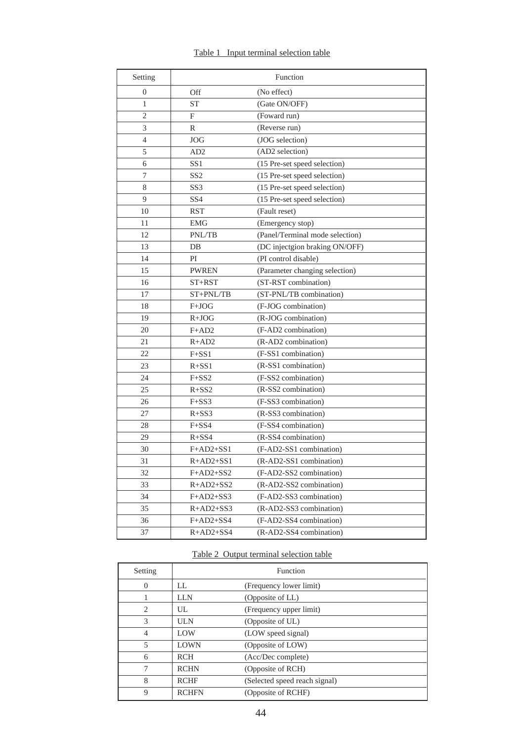|  | Table 1 Input terminal selection table |  |
|--|----------------------------------------|--|
|  |                                        |  |

| Setting        |                 | Function                        |
|----------------|-----------------|---------------------------------|
| $\theta$       | Off             | (No effect)                     |
| 1              | <b>ST</b>       | (Gate ON/OFF)                   |
| $\overline{2}$ | F               | (Foward run)                    |
| 3              | R               | (Reverse run)                   |
| 4              | <b>JOG</b>      | (JOG selection)                 |
| 5              | AD <sub>2</sub> | (AD2 selection)                 |
| 6              | SS <sub>1</sub> | (15 Pre-set speed selection)    |
| 7              | SS <sub>2</sub> | (15 Pre-set speed selection)    |
| 8              | SS <sub>3</sub> | (15 Pre-set speed selection)    |
| 9              | SS <sub>4</sub> | (15 Pre-set speed selection)    |
| 10             | <b>RST</b>      | (Fault reset)                   |
| 11             | <b>EMG</b>      | (Emergency stop)                |
| 12             | PNL/TB          | (Panel/Terminal mode selection) |
| 13             | $DB$            | (DC injectgion braking ON/OFF)  |
| 14             | PI              | (PI control disable)            |
| 15             | <b>PWREN</b>    | (Parameter changing selection)  |
| 16             | $ST+RST$        | (ST-RST combination)            |
| 17             | ST+PNL/TB       | (ST-PNL/TB combination)         |
| 18             | F+JOG           | (F-JOG combination)             |
| 19             | $R+JOG$         | (R-JOG combination)             |
| 20             | $F+AD2$         | (F-AD2 combination)             |
| 21             | $R+AD2$         | (R-AD2 combination)             |
| 22             | $F + SS1$       | (F-SS1 combination)             |
| 23             | $R + SS1$       | (R-SS1 combination)             |
| 24             | $F + S S2$      | (F-SS2 combination)             |
| 25             | $R + SS2$       | (R-SS2 combination)             |
| 26             | $F+SS3$         | (F-SS3 combination)             |
| 27             | $R + S S3$      | (R-SS3 combination)             |
| 28             | $F + S S4$      | (F-SS4 combination)             |
| 29             | $R + S S4$      | (R-SS4 combination)             |
| 30             | $F+AD2+SS1$     | (F-AD2-SS1 combination)         |
| 31             | $R+AD2+SS1$     | (R-AD2-SS1 combination)         |
| 32             | $F+AD2+SS2$     | (F-AD2-SS2 combination)         |
| 33             | $R+AD2+SS2$     | (R-AD2-SS2 combination)         |
| 34             | $F+AD2+SS3$     | (F-AD2-SS3 combination)         |
| 35             | $R+AD2+SS3$     | (R-AD2-SS3 combination)         |
| 36             | $F+AD2+SS4$     | (F-AD2-SS4 combination)         |
| 37             | $R+AD2+SS4$     | (R-AD2-SS4 combination)         |

### Table 2 Output terminal selection table

| Setting        |              | Function                      |
|----------------|--------------|-------------------------------|
| $\Omega$       | LL.          | (Frequency lower limit)       |
|                | LLN          | (Opposite of LL)              |
| 2              | UL.          | (Frequency upper limit)       |
| 3              | <b>ULN</b>   | (Opposite of UL)              |
| $\overline{4}$ | <b>LOW</b>   | (LOW speed signal)            |
| 5              | <b>LOWN</b>  | (Opposite of LOW)             |
| 6              | <b>RCH</b>   | (Acc/Dec complete)            |
| 7              | <b>RCHN</b>  | (Opposite of RCH)             |
| 8              | <b>RCHF</b>  | (Selected speed reach signal) |
| 9              | <b>RCHFN</b> | (Opposite of RCHF)            |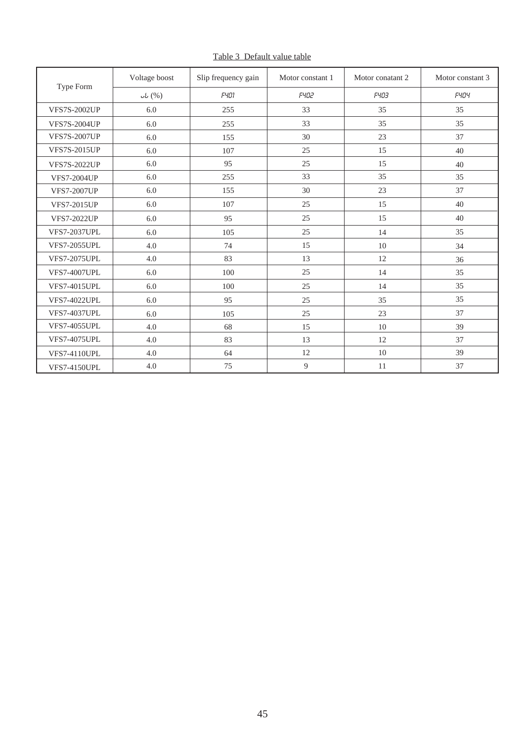|                     | Voltage boost | Slip frequency gain | Motor constant 1 | Motor conatant 2 | Motor constant 3 |
|---------------------|---------------|---------------------|------------------|------------------|------------------|
| Type Form           | ub(%)         | <b>F401</b>         | <b>F402</b>      | <b>F403</b>      | <b>FYOY</b>      |
| <b>VFS7S-2002UP</b> | 6.0           | 255                 | 33               | 35               | 35               |
| <b>VFS7S-2004UP</b> | 6.0           | 255                 | 33               | 35               | 35               |
| <b>VFS7S-2007UP</b> | 6.0           | 155                 | 30               | 23               | 37               |
| <b>VFS7S-2015UP</b> | 6.0           | 107                 | 25               | 15               | 40               |
| <b>VFS7S-2022UP</b> | 6.0           | 95                  | 25               | 15               | 40               |
| <b>VFS7-2004UP</b>  | 6.0           | 255                 | 33               | 35               | 35               |
| <b>VFS7-2007UP</b>  | 6.0           | 155                 | 30               | 23               | 37               |
| <b>VFS7-2015UP</b>  | 6.0           | 107                 | 25               | 15               | 40               |
| <b>VFS7-2022UP</b>  | 6.0           | 95                  | 25               | 15               | 40               |
| <b>VFS7-2037UPL</b> | 6.0           | 105                 | 25               | 14               | 35               |
| <b>VFS7-2055UPL</b> | 4.0           | 74                  | 15               | 10               | 34               |
| <b>VFS7-2075UPL</b> | 4.0           | 83                  | 13               | 12               | 36               |
| <b>VFS7-4007UPL</b> | 6.0           | 100                 | 25               | 14               | 35               |
| <b>VFS7-4015UPL</b> | 6.0           | 100                 | 25               | 14               | 35               |
| <b>VFS7-4022UPL</b> | 6.0           | 95                  | 25               | 35               | 35               |
| <b>VFS7-4037UPL</b> | 6.0           | 105                 | 25               | 23               | 37               |
| <b>VFS7-4055UPL</b> | 4.0           | 68                  | 15               | 10               | 39               |
| <b>VFS7-4075UPL</b> | 4.0           | 83                  | 13               | 12               | 37               |
| <b>VFS7-4110UPL</b> | 4.0           | 64                  | 12               | 10               | 39               |
| <b>VFS7-4150UPL</b> | 4.0           | 75                  | 9                | 11               | 37               |

Table 3 Default value table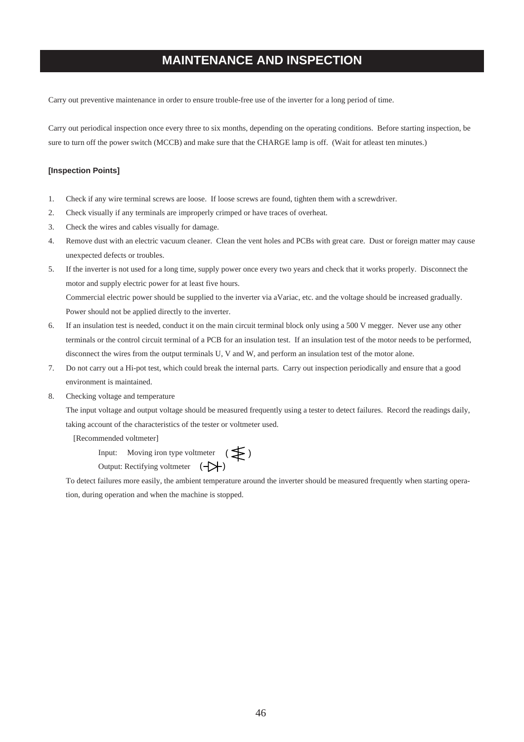# **MAINTENANCE AND INSPECTION**

Carry out preventive maintenance in order to ensure trouble-free use of the inverter for a long period of time.

Carry out periodical inspection once every three to six months, depending on the operating conditions. Before starting inspection, be sure to turn off the power switch (MCCB) and make sure that the CHARGE lamp is off. (Wait for atleast ten minutes.)

#### **[Inspection Points]**

- 1. Check if any wire terminal screws are loose. If loose screws are found, tighten them with a screwdriver.
- 2. Check visually if any terminals are improperly crimped or have traces of overheat.
- 3. Check the wires and cables visually for damage.
- 4. Remove dust with an electric vacuum cleaner. Clean the vent holes and PCBs with great care. Dust or foreign matter may cause unexpected defects or troubles.
- 5. If the inverter is not used for a long time, supply power once every two years and check that it works properly. Disconnect the motor and supply electric power for at least five hours. Commercial electric power should be supplied to the inverter via aVariac, etc. and the voltage should be increased gradually. Power should not be applied directly to the inverter.
- 6. If an insulation test is needed, conduct it on the main circuit terminal block only using a 500 V megger. Never use any other terminals or the control circuit terminal of a PCB for an insulation test. If an insulation test of the motor needs to be performed, disconnect the wires from the output terminals U, V and W, and perform an insulation test of the motor alone.
- 7. Do not carry out a Hi-pot test, which could break the internal parts. Carry out inspection periodically and ensure that a good environment is maintained.
- 8. Checking voltage and temperature

The input voltage and output voltage should be measured frequently using a tester to detect failures. Record the readings daily, taking account of the characteristics of the tester or voltmeter used.

[Recommended voltmeter]

Input: Moving iron type voltmeter  $\left( \right)$ Output: Rectifying voltmeter  $(\rightarrow \rightarrow)$ 

To detect failures more easily, the ambient temperature around the inverter should be measured frequently when starting operation, during operation and when the machine is stopped.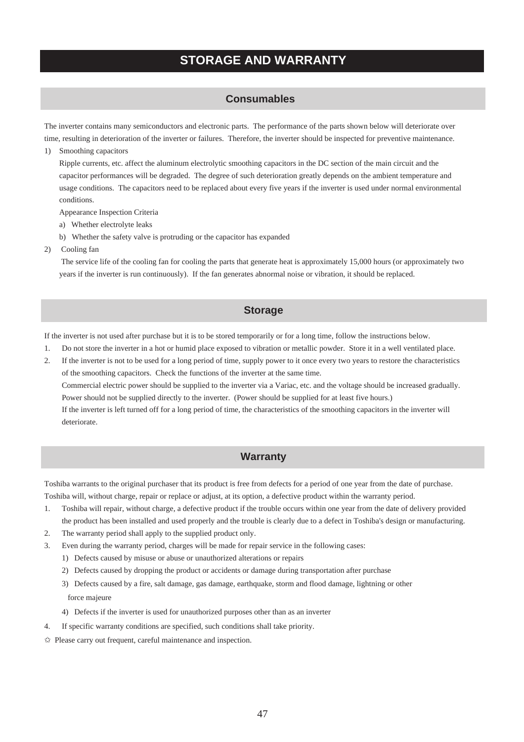# **STORAGE AND WARRANTY**

#### **Consumables**

The inverter contains many semiconductors and electronic parts. The performance of the parts shown below will deteriorate over time, resulting in deterioration of the inverter or failures. Therefore, the inverter should be inspected for preventive maintenance.

#### 1) Smoothing capacitors

Ripple currents, etc. affect the aluminum electrolytic smoothing capacitors in the DC section of the main circuit and the capacitor performances will be degraded. The degree of such deterioration greatly depends on the ambient temperature and usage conditions. The capacitors need to be replaced about every five years if the inverter is used under normal environmental conditions.

Appearance Inspection Criteria

- a) Whether electrolyte leaks
- b) Whether the safety valve is protruding or the capacitor has expanded
- 2) Cooling fan

 The service life of the cooling fan for cooling the parts that generate heat is approximately 15,000 hours (or approximately two years if the inverter is run continuously). If the fan generates abnormal noise or vibration, it should be replaced.

#### **Storage**

If the inverter is not used after purchase but it is to be stored temporarily or for a long time, follow the instructions below.

- 1. Do not store the inverter in a hot or humid place exposed to vibration or metallic powder. Store it in a well ventilated place.
- 2. If the inverter is not to be used for a long period of time, supply power to it once every two years to restore the characteristics of the smoothing capacitors. Check the functions of the inverter at the same time. Commercial electric power should be supplied to the inverter via a Variac, etc. and the voltage should be increased gradually. Power should not be supplied directly to the inverter. (Power should be supplied for at least five hours.) If the inverter is left turned off for a long period of time, the characteristics of the smoothing capacitors in the inverter will deteriorate.

#### **Warranty**

Toshiba warrants to the original purchaser that its product is free from defects for a period of one year from the date of purchase.

Toshiba will, without charge, repair or replace or adjust, at its option, a defective product within the warranty period.

- 1. Toshiba will repair, without charge, a defective product if the trouble occurs within one year from the date of delivery provided the product has been installed and used properly and the trouble is clearly due to a defect in Toshiba's design or manufacturing.
- 2. The warranty period shall apply to the supplied product only.
- 3. Even during the warranty period, charges will be made for repair service in the following cases:
	- 1) Defects caused by misuse or abuse or unauthorized alterations or repairs
	- 2) Defects caused by dropping the product or accidents or damage during transportation after purchase
	- 3) Defects caused by a fire, salt damage, gas damage, earthquake, storm and flood damage, lightning or other force majeure
	- 4) Defects if the inverter is used for unauthorized purposes other than as an inverter
- 4. If specific warranty conditions are specified, such conditions shall take priority.
- ✩ Please carry out frequent, careful maintenance and inspection.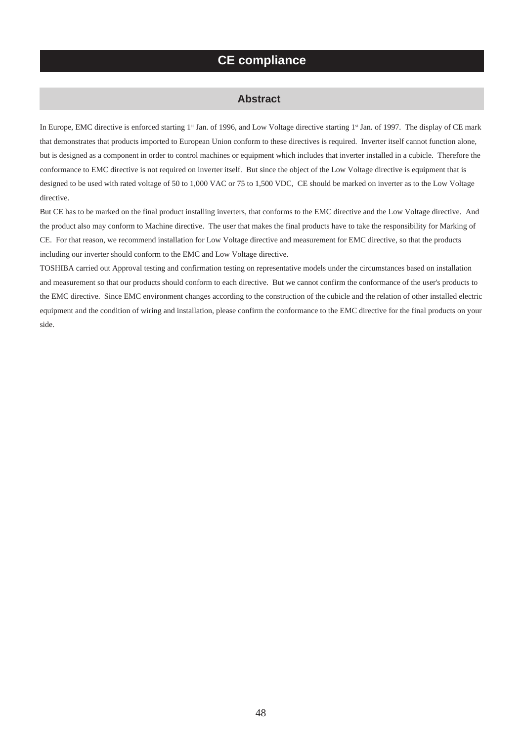### **CE compliance**

#### **Abstract**

In Europe, EMC directive is enforced starting 1<sup>st</sup> Jan. of 1996, and Low Voltage directive starting 1st Jan. of 1997. The display of CE mark that demonstrates that products imported to European Union conform to these directives is required. Inverter itself cannot function alone, but is designed as a component in order to control machines or equipment which includes that inverter installed in a cubicle. Therefore the conformance to EMC directive is not required on inverter itself. But since the object of the Low Voltage directive is equipment that is designed to be used with rated voltage of 50 to 1,000 VAC or 75 to 1,500 VDC, CE should be marked on inverter as to the Low Voltage directive.

But CE has to be marked on the final product installing inverters, that conforms to the EMC directive and the Low Voltage directive. And the product also may conform to Machine directive. The user that makes the final products have to take the responsibility for Marking of CE. For that reason, we recommend installation for Low Voltage directive and measurement for EMC directive, so that the products including our inverter should conform to the EMC and Low Voltage directive.

TOSHIBA carried out Approval testing and confirmation testing on representative models under the circumstances based on installation and measurement so that our products should conform to each directive. But we cannot confirm the conformance of the user's products to the EMC directive. Since EMC environment changes according to the construction of the cubicle and the relation of other installed electric equipment and the condition of wiring and installation, please confirm the conformance to the EMC directive for the final products on your side.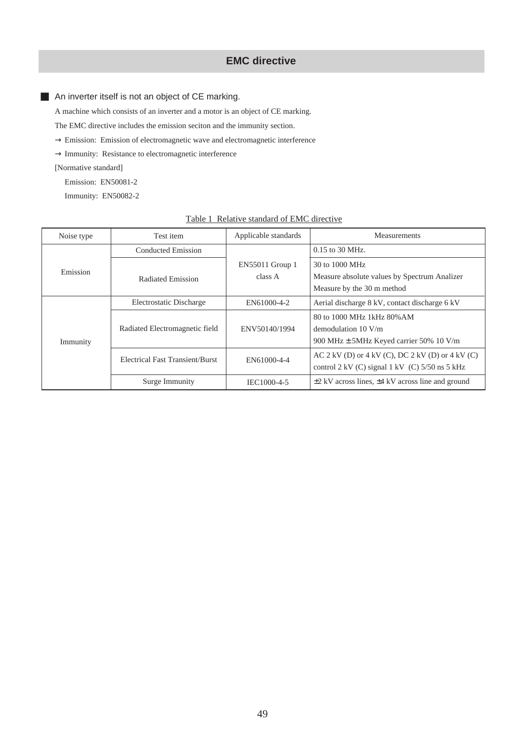### **EMC directive**

■ An inverter itself is not an object of CE marking.

A machine which consists of an inverter and a motor is an object of CE marking.

The EMC directive includes the emission seciton and the immunity section.

- $\rightarrow$  Emission: Emission of electromagnetic wave and electromagnetic interference
- $\rightarrow$  Immunity: Resistance to electromagnetic interference

[Normative standard]

Emission: EN50081-2

Immunity: EN50082-2

| Noise type | Test item                       | Applicable standards       | <b>Measurements</b>                                                                                        |
|------------|---------------------------------|----------------------------|------------------------------------------------------------------------------------------------------------|
|            | Conducted Emission              |                            | $0.15$ to 30 MHz.                                                                                          |
| Emission   | Radiated Emission               | EN55011 Group 1<br>class A | 30 to 1000 MHz<br>Measure absolute values by Spectrum Analizer<br>Measure by the 30 m method               |
|            | Electrostatic Discharge         | EN61000-4-2                | Aerial discharge 8 kV, contact discharge 6 kV                                                              |
| Immunity   | Radiated Electromagnetic field  | ENV50140/1994              | 80 to 1000 MHz 1kHz 80% AM<br>demodulation $10 \text{ V/m}$<br>900 MHz $\pm$ 5MHz Keyed carrier 50% 10 V/m |
|            | Electrical Fast Transient/Burst | EN61000-4-4                | AC 2 kV (D) or 4 kV (C), DC 2 kV (D) or 4 kV (C)<br>control 2 kV (C) signal 1 kV (C) $5/50$ ns 5 kHz       |
|            | Surge Immunity                  | IEC1000-4-5                | $\pm$ 2 kV across lines, $\pm$ 4 kV across line and ground                                                 |

#### Table 1 Relative standard of EMC directive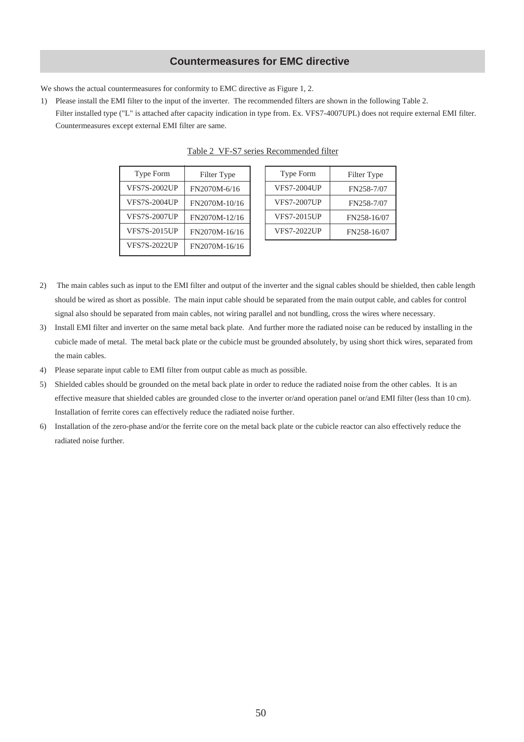### **Countermeasures for EMC directive**

We shows the actual countermeasures for conformity to EMC directive as Figure 1, 2.

1) Please install the EMI filter to the input of the inverter. The recommended filters are shown in the following Table 2. Filter installed type ("L" is attached after capacity indication in type from. Ex. VFS7-4007UPL) does not require external EMI filter. Countermeasures except external EMI filter are same.

| Type Form           | Filter Type   | Type Form          |
|---------------------|---------------|--------------------|
| <b>VFS7S-2002UP</b> | FN2070M-6/16  | <b>VFS7-2004UP</b> |
| <b>VFS7S-2004UP</b> | FN2070M-10/16 | <b>VFS7-2007UP</b> |
| <b>VFS7S-2007UP</b> | FN2070M-12/16 | <b>VFS7-2015UP</b> |
| <b>VFS7S-2015UP</b> | FN2070M-16/16 | <b>VFS7-2022UP</b> |
| <b>VFS7S-2022UP</b> | FN2070M-16/16 |                    |
|                     |               |                    |

Table 2 VF-S7 series Recommended filter

Filter Type FN258-7/07 FN258-7/07 FN258-16/07 FN258-16/07

- 2) The main cables such as input to the EMI filter and output of the inverter and the signal cables should be shielded, then cable length should be wired as short as possible. The main input cable should be separated from the main output cable, and cables for control signal also should be separated from main cables, not wiring parallel and not bundling, cross the wires where necessary.
- 3) Install EMI filter and inverter on the same metal back plate. And further more the radiated noise can be reduced by installing in the cubicle made of metal. The metal back plate or the cubicle must be grounded absolutely, by using short thick wires, separated from the main cables.
- 4) Please separate input cable to EMI filter from output cable as much as possible.
- 5) Shielded cables should be grounded on the metal back plate in order to reduce the radiated noise from the other cables. It is an effective measure that shielded cables are grounded close to the inverter or/and operation panel or/and EMI filter (less than 10 cm). Installation of ferrite cores can effectively reduce the radiated noise further.
- 6) Installation of the zero-phase and/or the ferrite core on the metal back plate or the cubicle reactor can also effectively reduce the radiated noise further.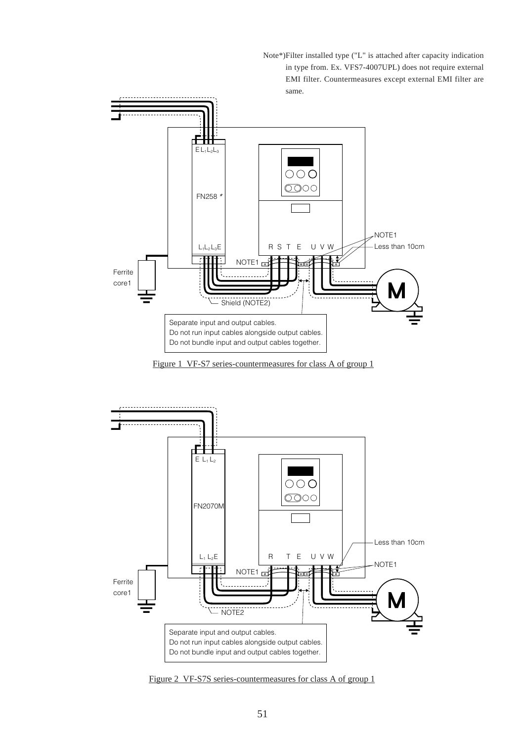Note\*)Filter installed type ("L" is attached after capacity indication in type from. Ex. VFS7-4007UPL) does not require external EMI filter. Countermeasures except external EMI filter are same.



Figure 1 VF-S7 series-countermeasures for class A of group 1



Figure 2 VF-S7S series-countermeasures for class A of group 1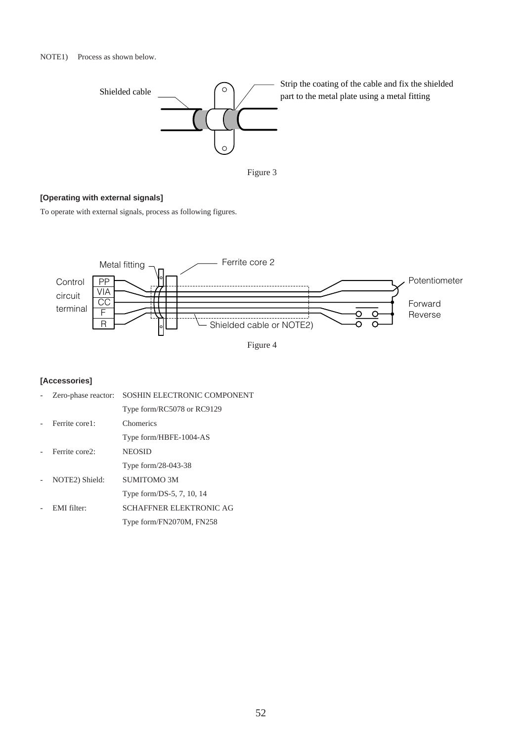



### **[Operating with external signals]**

To operate with external signals, process as following figures.



Figure 4

#### **[Accessories]**

| Zero-phase reactor: | SOSHIN ELECTRONIC COMPONENT    |
|---------------------|--------------------------------|
|                     | Type form/RC5078 or RC9129     |
| Ferrite core1:      | Chomerics                      |
|                     | Type form/HBFE-1004-AS         |
| Ferrite core2:      | <b>NEOSID</b>                  |
|                     | Type form/28-043-38            |
| NOTE2) Shield:      | SUMITOMO 3M                    |
|                     | Type form/DS-5, 7, 10, 14      |
| EMI filter:         | <b>SCHAFFNER ELEKTRONIC AG</b> |
|                     | Type form/FN2070M, FN258       |
|                     |                                |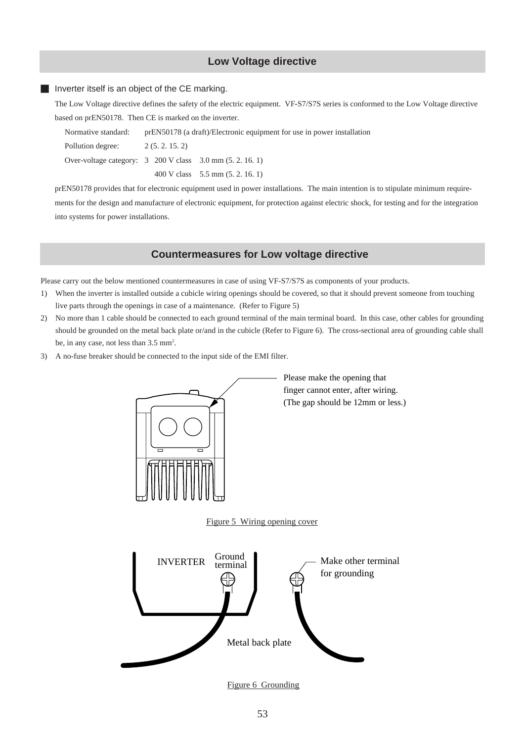### **Low Voltage directive**

#### ■ Inverter itself is an object of the CE marking.

The Low Voltage directive defines the safety of the electric equipment. VF-S7/S7S series is conformed to the Low Voltage directive based on prEN50178. Then CE is marked on the inverter.

| Normative standard:                                                           |  | prEN50178 (a draft)/Electronic equipment for use in power installation |                                    |  |  |
|-------------------------------------------------------------------------------|--|------------------------------------------------------------------------|------------------------------------|--|--|
| Pollution degree:                                                             |  | 2(5, 2, 15, 2)                                                         |                                    |  |  |
| Over-voltage category: $3\,200\,\text{V}$ class $3.0\,\text{mm}$ (5.2, 16, 1) |  |                                                                        |                                    |  |  |
|                                                                               |  |                                                                        | 400 V class $5.5$ mm $(5.2, 16.1)$ |  |  |

prEN50178 provides that for electronic equipment used in power installations. The main intention is to stipulate minimum requirements for the design and manufacture of electronic equipment, for protection against electric shock, for testing and for the integration into systems for power installations.

#### **Countermeasures for Low voltage directive**

Please carry out the below mentioned countermeasures in case of using VF-S7/S7S as components of your products.

- 1) When the inverter is installed outside a cubicle wiring openings should be covered, so that it should prevent someone from touching live parts through the openings in case of a maintenance. (Refer to Figure 5)
- 2) No more than 1 cable should be connected to each ground terminal of the main terminal board. In this case, other cables for grounding should be grounded on the metal back plate or/and in the cubicle (Refer to Figure 6). The cross-sectional area of grounding cable shall be, in any case, not less than 3.5 mm<sup>2</sup>.
- 3) A no-fuse breaker should be connected to the input side of the EMI filter.



Please make the opening that finger cannot enter, after wiring. (The gap should be 12mm or less.)

Figure 5 Wiring opening cover



Figure 6 Grounding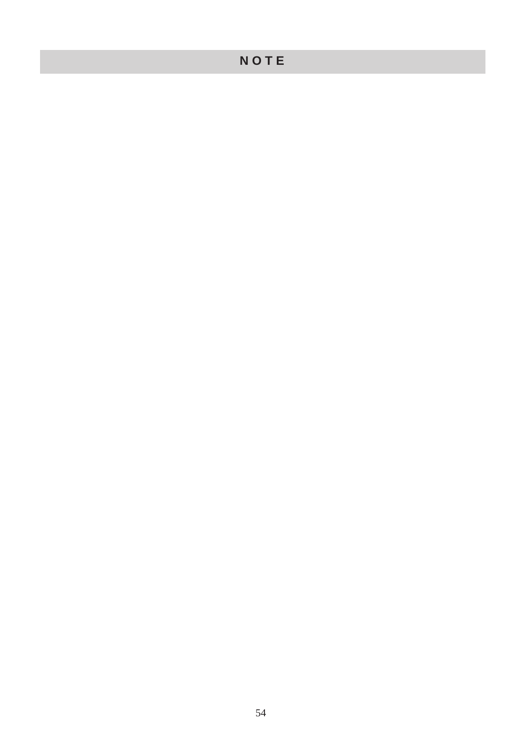# **N O T E**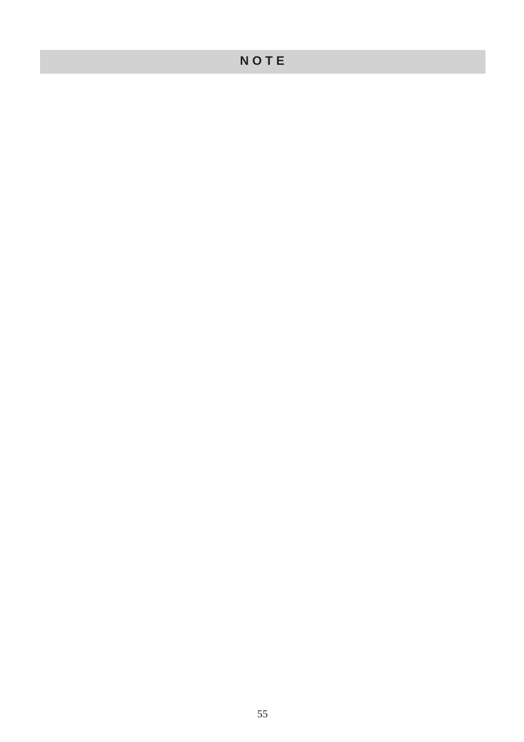# **N O T E**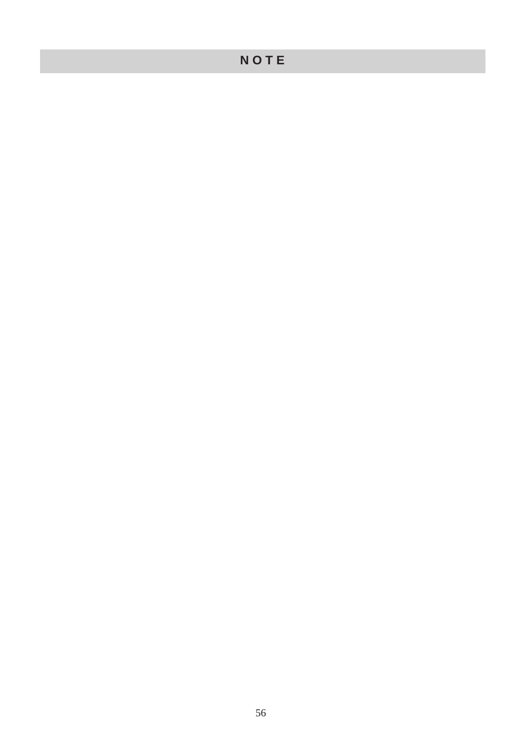# **N O T E**